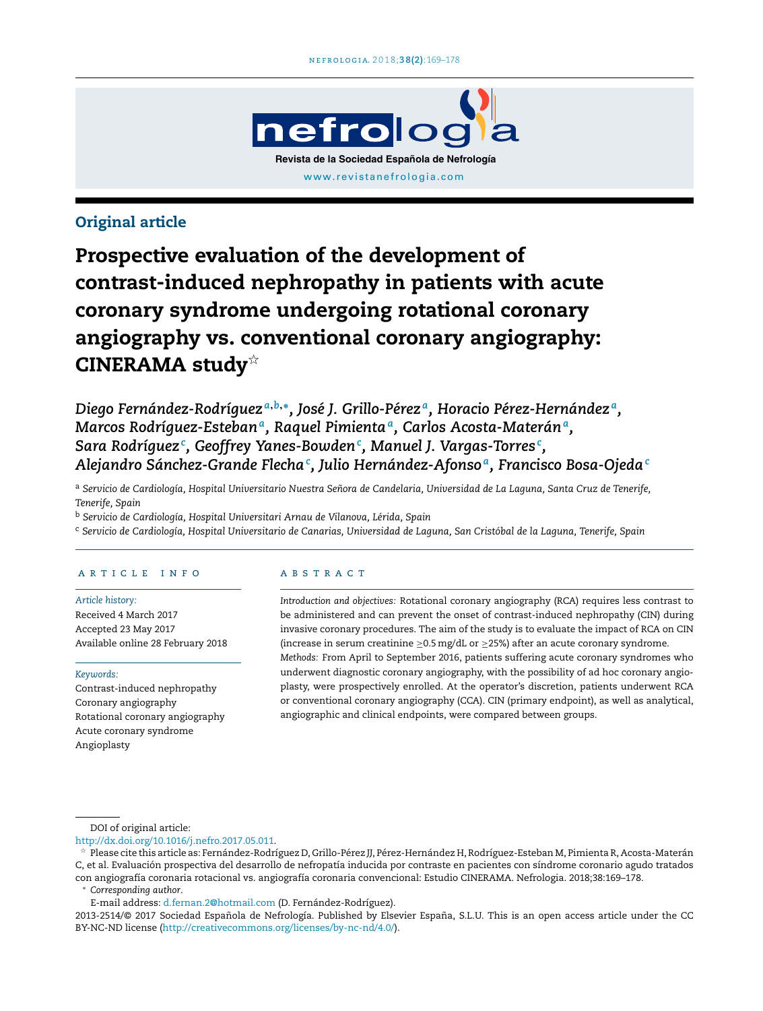

# Original article

Prospective evaluation of the development of contrast-induced nephropathy in patients with acute coronary syndrome undergoing rotational coronary angiography vs. conventional coronary angiography: CINERAMA study $^{\star}$ 

*Diego Fernández-Rodríguez <sup>a</sup>*,*b*,<sup>∗</sup> *, José J. Grillo-Pérez <sup>a</sup> , Horacio Pérez-Hernández <sup>a</sup> , Marcos Rodríguez-Esteban<sup>a</sup> , Raquel Pimienta<sup>a</sup> , Carlos Acosta-Materán<sup>a</sup> , Sara Rodríguez<sup>c</sup> , Geoffrey Yanes-Bowden<sup>c</sup> , Manuel J. Vargas-Torres<sup>c</sup> , Alejandro Sánchez-Grande Flecha<sup>c</sup> , Julio Hernández-Afonso <sup>a</sup> , Francisco Bosa-Ojeda<sup>c</sup>*

a Servicio de Cardiología, Hospital Universitario Nuestra Señora de Candelaria, Universidad de La Laguna, Santa Cruz de Tenerife, *Tenerife, Spain*

<sup>b</sup> *Servicio de Cardiología, Hospital Universitari Arnau de Vilanova, Lérida, Spain*

c Servicio de Cardiología, Hospital Universitario de Canarias, Universidad de Laguna, San Cristóbal de la Laguna, Tenerife, Spain

#### ARTICLE INFO

#### *Article history:*

Received 4 March 2017 Accepted 23 May 2017 Available online 28 February 2018

#### *Keywords:*

Contrast-induced nephropathy Coronary angiography Rotational coronary angiography Acute coronary syndrome Angioplasty

#### A B S T R A C T

*Introduction and objectives:* Rotational coronary angiography (RCA) requires less contrast to be administered and can prevent the onset of contrast-induced nephropathy (CIN) during invasive coronary procedures. The aim of the study is to evaluate the impact of RCA on CIN (increase in serum creatinine ≥0.5mg/dL or ≥25%) after an acute coronary syndrome. *Methods:* From April to September 2016, patients suffering acute coronary syndromes who underwent diagnostic coronary angiography, with the possibility of ad hoc coronary angioplasty, were prospectively enrolled. At the operator's discretion, patients underwent RCA or conventional coronary angiography (CCA). CIN (primary endpoint), as well as analytical, angiographic and clinical endpoints, were compared between groups.

DOI of original article:

<http://dx.doi.org/10.1016/j.nefro.2017.05.011>.

 $^\star$  Please cite this article as: Fernández-Rodríguez D, Grillo-Pérez JJ, Pérez-Hernández H, Rodríguez-Esteban M, Pimienta R, Acosta-Materán C, et al. Evaluación prospectiva del desarrollo de nefropatía inducida por contraste en pacientes con síndrome coronario agudo tratados con angiografía coronaria rotacional vs. angiografía coronaria convencional: Estudio CINERAMA. Nefrologia. 2018;38:169–178.

<sup>∗</sup> *Corresponding author*.

E-mail address: [d.fernan.2@hotmail.com](mailto:d.fernan.2@hotmail.com) (D. Fernández-Rodríguez).

<sup>2013-2514/© 2017</sup> Sociedad Española de Nefrología. Published by Elsevier España, S.L.U. This is an open access article under the CC BY-NC-ND license (<http://creativecommons.org/licenses/by-nc-nd/4.0/>).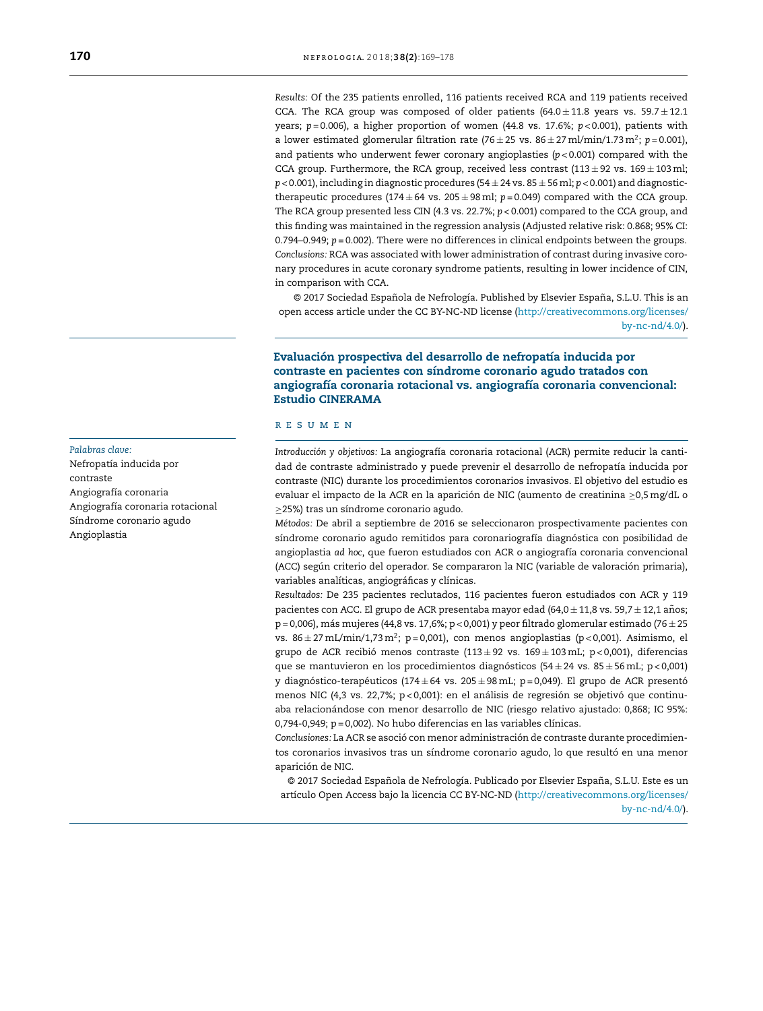*Results:* Of the 235 patients enrolled, 116 patients received RCA and 119 patients received CCA. The RCA group was composed of older patients  $(64.0 \pm 11.8$  years vs.  $59.7 \pm 12.1$ years; *p* = 0.006), a higher proportion of women (44.8 vs. 17.6%; *p* < 0.001), patients with a lower estimated glomerular filtration rate  $(76 \pm 25 \text{ vs. } 86 \pm 27 \text{ m} \times 1.73 \text{ m}^2; p = 0.001)$ , and patients who underwent fewer coronary angioplasties (*p* < 0.001) compared with the CCA group. Furthermore, the RCA group, received less contrast  $(113 \pm 92 \text{ vs. } 169 \pm 103 \text{ ml})$ ;  $p$  < 0.001), including in diagnostic procedures (54  $\pm$  24 vs. 85  $\pm$  56 ml;  $p$  < 0.001) and diagnostictherapeutic procedures (174 $\pm$ 64 vs. 205 $\pm$ 98 ml;  $p = 0.049$ ) compared with the CCA group. The RCA group presented less CIN (4.3 vs. 22.7%; *p* < 0.001) compared to the CCA group, and this finding was maintained in the regression analysis (Adjusted relative risk: 0.868; 95% CI: 0.794–0.949; *p* = 0.002). There were no differences in clinical endpoints between the groups. *Conclusions:* RCA was associated with lower administration of contrast during invasive coronary procedures in acute coronary syndrome patients, resulting in lower incidence of CIN, in comparison with CCA.

© 2017 Sociedad Española de Nefrología. Published by Elsevier España, S.L.U. This is an open access article under the CC BY-NC-ND license [\(http://creativecommons.org/licenses/](http://creativecommons.org/licenses/by-nc-nd/4.0/) [by-nc-nd/4.0/\)](http://creativecommons.org/licenses/by-nc-nd/4.0/).

# Evaluación prospectiva del desarrollo de nefropatía inducida por contraste en pacientes con síndrome coronario agudo tratados con angiografía coronaria rotacional vs. angiografía coronaria convencional: Estudio CINERAMA

#### r e s u m e n

*Introducción y objetivos:* La angiografía coronaria rotacional (ACR) permite reducir la cantidad de contraste administrado y puede prevenir el desarrollo de nefropatía inducida por contraste (NIC) durante los procedimientos coronarios invasivos. El objetivo del estudio es evaluar el impacto de la ACR en la aparición de NIC (aumento de creatinina ≥0,5mg/dL o ≥25%) tras un síndrome coronario agudo.

*Métodos:* De abril a septiembre de 2016 se seleccionaron prospectivamente pacientes con síndrome coronario agudo remitidos para coronariografía diagnóstica con posibilidad de angioplastia *ad hoc*, que fueron estudiados con ACR o angiografía coronaria convencional (ACC) según criterio del operador. Se compararon la NIC (variable de valoración primaria), variables analíticas, angiográficas y clínicas.

*Resultados:* De 235 pacientes reclutados, 116 pacientes fueron estudiados con ACR y 119 pacientes con ACC. El grupo de ACR presentaba mayor edad (64,0  $\pm$  11,8 vs. 59,7  $\pm$  12,1 años;  $p = 0,006$ ), más mujeres (44,8 vs. 17,6%;  $p < 0,001$ ) y peor filtrado glomerular estimado (76  $\pm$  25 vs.  $86 \pm 27$  mL/min/1,73 m<sup>2</sup>; p=0,001), con menos angioplastias (p<0,001). Asimismo, el grupo de ACR recibió menos contraste (113 $\pm$ 92 vs. 169 $\pm$ 103 mL; p < 0,001), diferencias que se mantuvieron en los procedimientos diagnósticos (54 ± 24 vs.  $85 \pm 56$  mL; p < 0,001) y diagnóstico-terapéuticos (174 $\pm$  64 vs. 205 $\pm$ 98 mL; p=0,049). El grupo de ACR presentó menos NIC (4,3 vs. 22,7%; p < 0,001): en el análisis de regresión se objetivó que continuaba relacionándose con menor desarrollo de NIC (riesgo relativo ajustado: 0,868; IC 95%: 0,794-0,949; p = 0,002). No hubo diferencias en las variables clínicas.

*Conclusiones:* La ACR se asoció con menor administración de contraste durante procedimientos coronarios invasivos tras un síndrome coronario agudo, lo que resultó en una menor aparición de NIC.

© 2017 Sociedad Española de Nefrología. Publicado por Elsevier España, S.L.U. Este es un artículo Open Access bajo la licencia CC BY-NC-ND [\(http://creativecommons.org/licenses/](http://creativecommons.org/licenses/by-nc-nd/4.0/) [by-nc-nd/4.0/\)](http://creativecommons.org/licenses/by-nc-nd/4.0/).

#### *Palabras clave:*

Nefropatía inducida por contraste Angiografía coronaria Angiografía coronaria rotacional Síndrome coronario agudo Angioplastia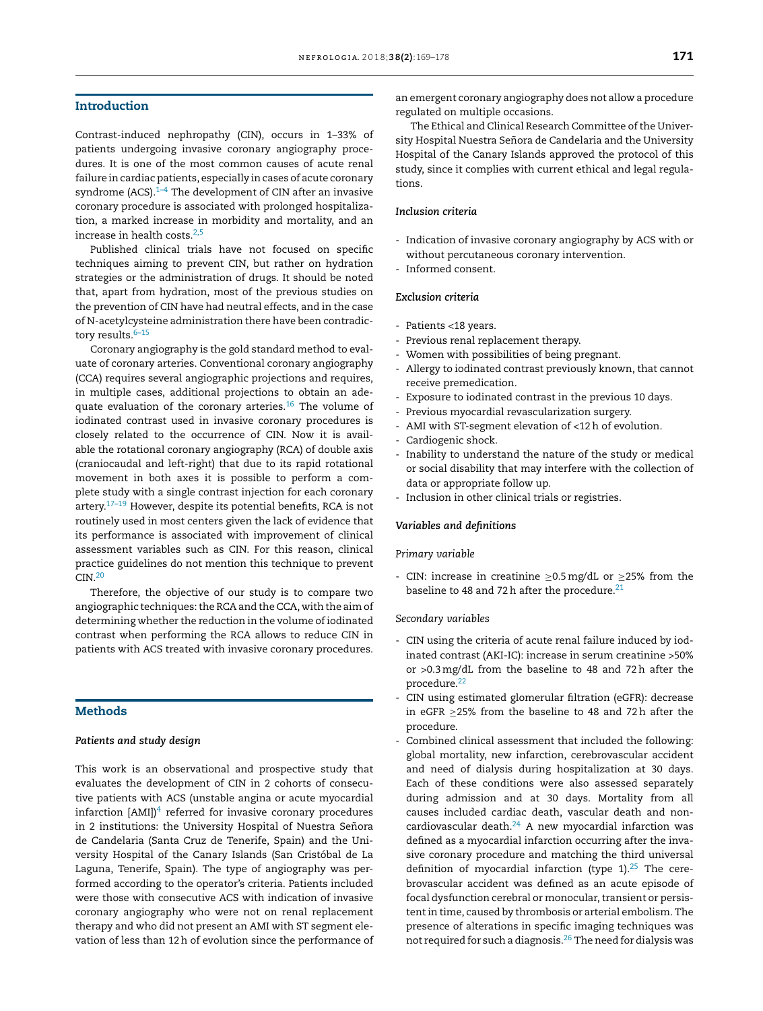## Introduction

Contrast-induced nephropathy (CIN), occurs in 1–33% of patients undergoing invasive coronary angiography procedures. It is one of the most common causes of acute renal failure in cardiac patients, especially in cases of acute coronary syndrome (ACS). $1-4$  The development of CIN after an invasive coronary procedure is associated with prolonged hospitalization, a marked increase in morbidity and mortality, and an increase in health costs. $2,5$ 

Published clinical trials have not focused on specific techniques aiming to prevent CIN, but rather on hydration strategies or the administration of drugs. It should be noted that, apart from hydration, most of the previous studies on the prevention of CIN have had neutral effects, and in the case of N-acetylcysteine administration there have been contradictory results. $6-15$ 

Coronary angiography is the gold standard method to evaluate of coronary arteries. Conventional coronary angiography (CCA) requires several angiographic projections and requires, in multiple cases, additional projections to obtain an ade-quate evaluation of the coronary arteries.<sup>[16](#page-8-0)</sup> The volume of iodinated contrast used in invasive coronary procedures is closely related to the occurrence of CIN. Now it is available the rotational coronary angiography (RCA) of double axis (craniocaudal and left-right) that due to its rapid rotational movement in both axes it is possible to perform a complete study with a single contrast injection for each coronary artery.[17–19](#page-8-0) However, despite its potential benefits, RCA is not routinely used in most centers given the lack of evidence that its performance is associated with improvement of clinical assessment variables such as CIN. For this reason, clinical practice guidelines do not mention this technique to prevent  $CIN.<sup>20</sup>$  $CIN.<sup>20</sup>$  $CIN.<sup>20</sup>$ 

Therefore, the objective of our study is to compare two angiographic techniques: the RCA and the CCA, with the aim of determining whether the reduction in the volume of iodinated contrast when performing the RCA allows to reduce CIN in patients with ACS treated with invasive coronary procedures.

# Methods

#### *Patients and study design*

This work is an observational and prospective study that evaluates the development of CIN in 2 cohorts of consecutive patients with ACS (unstable angina or acute myocardial infarction  $\text{[AMI]} \text{]}^4$  $\text{[AMI]} \text{]}^4$  referred for invasive coronary procedures in 2 institutions: the University Hospital of Nuestra Señora de Candelaria (Santa Cruz de Tenerife, Spain) and the University Hospital of the Canary Islands (San Cristóbal de La Laguna, Tenerife, Spain). The type of angiography was performed according to the operator's criteria. Patients included were those with consecutive ACS with indication of invasive coronary angiography who were not on renal replacement therapy and who did not present an AMI with ST segment elevation of less than 12h of evolution since the performance of an emergent coronary angiography does not allow a procedure regulated on multiple occasions.

The Ethical and Clinical Research Committee of the University Hospital Nuestra Señora de Candelaria and the University Hospital of the Canary Islands approved the protocol of this study, since it complies with current ethical and legal regulations.

## *Inclusion criteria*

- Indication of invasive coronary angiography by ACS with or without percutaneous coronary intervention.
- Informed consent.

# *Exclusion criteria*

- Patients <18 years.
- Previous renal replacement therapy.
- Women with possibilities of being pregnant.
- Allergy to iodinated contrast previously known, that cannot receive premedication.
- Exposure to iodinated contrast in the previous 10 days.
- Previous myocardial revascularization surgery.
- AMI with ST-segment elevation of <12h of evolution.
- Cardiogenic shock.
- Inability to understand the nature of the study or medical or social disability that may interfere with the collection of data or appropriate follow up.
- Inclusion in other clinical trials or registries.

#### *Variables and definitions*

#### *Primary variable*

- CIN: increase in creatinine ≥0.5mg/dL or ≥25% from the baseline to 48 and 72 h after the procedure. $21$ 

#### *Secondary variables*

- CIN using the criteria of acute renal failure induced by iodinated contrast (AKI-IC): increase in serum creatinine >50% or >0.3mg/dL from the baseline to 48 and 72h after the procedure.<sup>[22](#page-8-0)</sup>
- CIN using estimated glomerular filtration (eGFR): decrease in eGFR ≥25% from the baseline to 48 and 72h after the procedure.
- Combined clinical assessment that included the following: global mortality, new infarction, cerebrovascular accident and need of dialysis during hospitalization at 30 days. Each of these conditions were also assessed separately during admission and at 30 days. Mortality from all causes included cardiac death, vascular death and noncardiovascular death. $24$  A new myocardial infarction was defined as a myocardial infarction occurring after the invasive coronary procedure and matching the third universal definition of myocardial infarction (type  $1$ ).<sup>[25](#page-9-0)</sup> The cerebrovascular accident was defined as an acute episode of focal dysfunction cerebral or monocular, transient or persistentin time, caused by thrombosis or arterial embolism. The presence of alterations in specific imaging techniques was not required for such a diagnosis.[26](#page-9-0) The need for dialysis was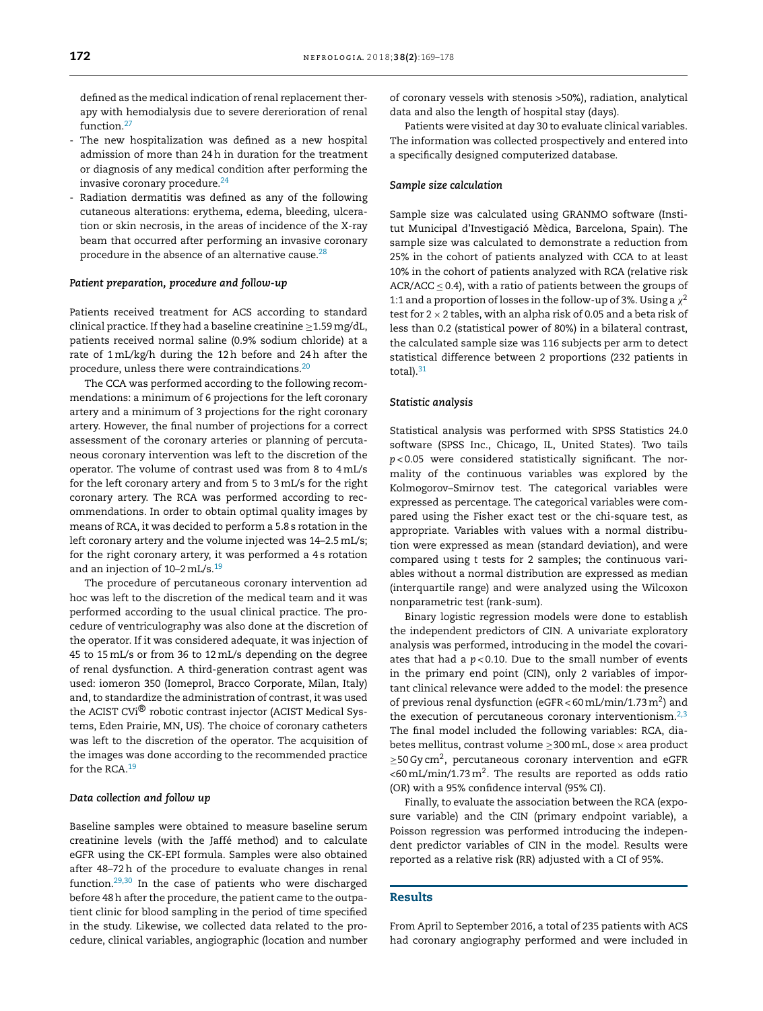defined as the medical indication of renal replacement therapy with hemodialysis due to severe dererioration of renal function.<sup>[27](#page-9-0)</sup>

- The new hospitalization was defined as a new hospital admission of more than 24h in duration for the treatment or diagnosis of any medical condition after performing the invasive coronary procedure.<sup>[24](#page-9-0)</sup>
- Radiation dermatitis was defined as any of the following cutaneous alterations: erythema, edema, bleeding, ulceration or skin necrosis, in the areas of incidence of the X-ray beam that occurred after performing an invasive coronary procedure in the absence of an alternative cause.<sup>[28](#page-9-0)</sup>

#### *Patient preparation, procedure and follow-up*

Patients received treatment for ACS according to standard clinical practice. If they had a baseline creatinine  $\geq$ 1.59 mg/dL, patients received normal saline (0.9% sodium chloride) at a rate of 1 mL/kg/h during the 12h before and 24h after the procedure, unless there were contraindications.[20](#page-8-0)

The CCA was performed according to the following recommendations: a minimum of 6 projections for the left coronary artery and a minimum of 3 projections for the right coronary artery. However, the final number of projections for a correct assessment of the coronary arteries or planning of percutaneous coronary intervention was left to the discretion of the operator. The volume of contrast used was from 8 to 4mL/s for the left coronary artery and from 5 to 3 mL/s for the right coronary artery. The RCA was performed according to recommendations. In order to obtain optimal quality images by means of RCA, it was decided to perform a 5.8 s rotation in the left coronary artery and the volume injected was 14–2.5mL/s; for the right coronary artery, it was performed a 4s rotation and an injection of 10–2mL/s.[19](#page-8-0)

The procedure of percutaneous coronary intervention ad hoc was left to the discretion of the medical team and it was performed according to the usual clinical practice. The procedure of ventriculography was also done at the discretion of the operator. If it was considered adequate, it was injection of 45 to 15mL/s or from 36 to 12mL/s depending on the degree of renal dysfunction. A third-generation contrast agent was used: iomeron 350 (Iomeprol, Bracco Corporate, Milan, Italy) and, to standardize the administration of contrast, it was used the ACIST CVi<sup>®</sup> robotic contrast injector (ACIST Medical Systems, Eden Prairie, MN, US). The choice of coronary catheters was left to the discretion of the operator. The acquisition of the images was done according to the recommended practice for the RCA.<sup>[19](#page-8-0)</sup>

#### *Data collection and follow up*

Baseline samples were obtained to measure baseline serum creatinine levels (with the Jaffé method) and to calculate eGFR using the CK-EPI formula. Samples were also obtained after 48–72h of the procedure to evaluate changes in renal function.[29,30](#page-9-0) In the case of patients who were discharged before 48h after the procedure, the patient came to the outpatient clinic for blood sampling in the period of time specified in the study. Likewise, we collected data related to the procedure, clinical variables, angiographic (location and number

of coronary vessels with stenosis >50%), radiation, analytical data and also the length of hospital stay (days).

Patients were visited at day 30 to evaluate clinical variables. The information was collected prospectively and entered into a specifically designed computerized database.

## *Sample size calculation*

Sample size was calculated using GRANMO software (Institut Municipal d'Investigació Mèdica, Barcelona, Spain). The sample size was calculated to demonstrate a reduction from 25% in the cohort of patients analyzed with CCA to at least 10% in the cohort of patients analyzed with RCA (relative risk  $ACR/ACC \leq 0.4$ ), with a ratio of patients between the groups of 1:1 and a proportion of losses in the follow-up of 3%. Using a  $\chi^2$ test for  $2 \times 2$  tables, with an alpha risk of 0.05 and a beta risk of less than 0.2 (statistical power of 80%) in a bilateral contrast, the calculated sample size was 116 subjects per arm to detect statistical difference between 2 proportions (232 patients in total).<sup>[31](#page-9-0)</sup>

#### *Statistic analysis*

Statistical analysis was performed with SPSS Statistics 24.0 software (SPSS Inc., Chicago, IL, United States). Two tails *p* < 0.05 were considered statistically significant. The normality of the continuous variables was explored by the Kolmogorov–Smirnov test. The categorical variables were expressed as percentage. The categorical variables were compared using the Fisher exact test or the chi-square test, as appropriate. Variables with values with a normal distribution were expressed as mean (standard deviation), and were compared using *t* tests for 2 samples; the continuous variables without a normal distribution are expressed as median (interquartile range) and were analyzed using the Wilcoxon nonparametric test (rank-sum).

Binary logistic regression models were done to establish the independent predictors of CIN. A univariate exploratory analysis was performed, introducing in the model the covariates that had a *p* < 0.10. Due to the small number of events in the primary end point (CIN), only 2 variables of important clinical relevance were added to the model: the presence of previous renal dysfunction (eGFR <  $60\,\mathrm{mL/min}/1.73\,\mathrm{m}^2$ ) and the execution of percutaneous coronary interventionism. $2,3$ The final model included the following variables: RCA, diabetes mellitus, contrast volume ≥300mL, dose × area product  $\geq$ 50 Gy cm<sup>2</sup>, percutaneous coronary intervention and eGFR <60 mL/min/1.73 m<sup>2</sup>. The results are reported as odds ratio (OR) with a 95% confidence interval (95% CI).

Finally, to evaluate the association between the RCA (exposure variable) and the CIN (primary endpoint variable), a Poisson regression was performed introducing the independent predictor variables of CIN in the model. Results were reported as a relative risk (RR) adjusted with a CI of 95%.

#### Results

From April to September 2016, a total of 235 patients with ACS had coronary angiography performed and were included in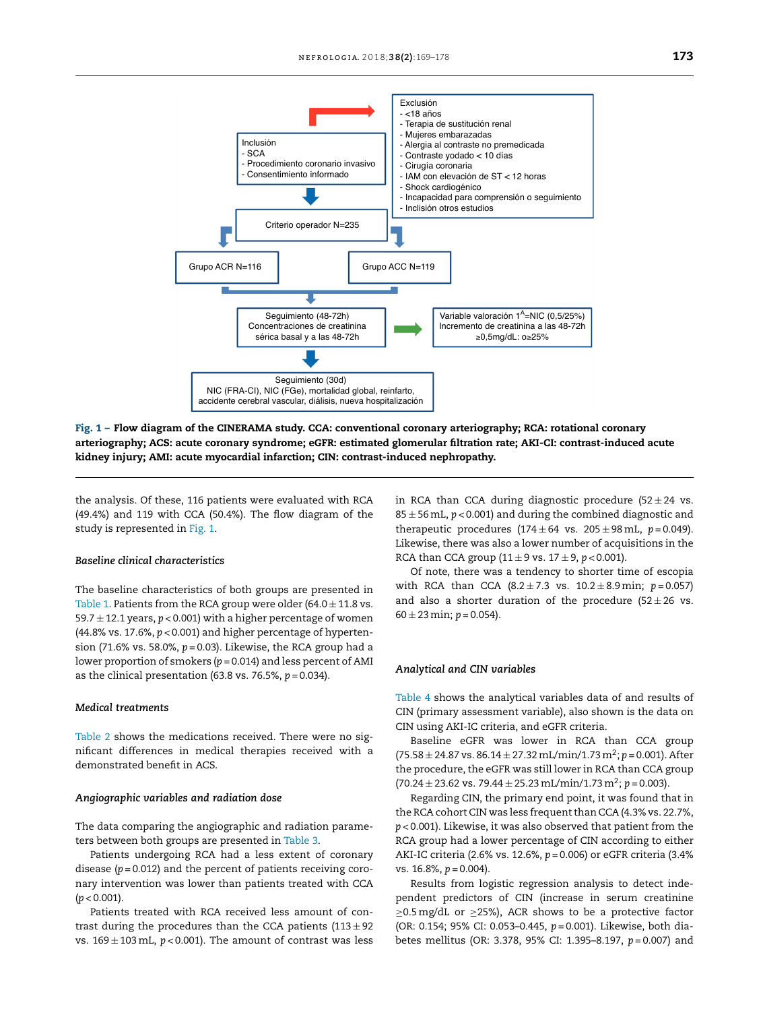

Fig. 1 – Flow diagram of the CINERAMA study. CCA: conventional coronary arteriography; RCA: rotational coronary arteriography; ACS: acute coronary syndrome; eGFR: estimated glomerular filtration rate; AKI-CI: contrast-induced acute kidney injury; AMI: acute myocardial infarction; CIN: contrast-induced nephropathy.

the analysis. Of these, 116 patients were evaluated with RCA (49.4%) and 119 with CCA (50.4%). The flow diagram of the study is represented in Fig. 1.

#### *Baseline clinical characteristics*

The baseline characteristics of both groups are presented in [Table](#page-5-0) 1. Patients from the RCA group were older  $(64.0 \pm 11.8 \text{ vs.})$ 59.7  $\pm$  12.1 years,  $p < 0.001$ ) with a higher percentage of women (44.8% vs. 17.6%, *p* < 0.001) and higher percentage of hypertension (71.6% vs. 58.0%, *p* = 0.03). Likewise, the RCA group had a lower proportion of smokers (*p* = 0.014) and less percent of AMI as the clinical presentation (63.8 vs. 76.5%, *p* = 0.034).

#### *Medical treatments*

[Table](#page-5-0) 2 shows the medications received. There were no significant differences in medical therapies received with a demonstrated benefit in ACS.

#### *Angiographic variables and radiation dose*

The data comparing the angiographic and radiation parameters between both groups are presented in [Table](#page-6-0) 3.

Patients undergoing RCA had a less extent of coronary disease (*p* = 0.012) and the percent of patients receiving coronary intervention was lower than patients treated with CCA  $(p < 0.001)$ .

Patients treated with RCA received less amount of contrast during the procedures than the CCA patients  $(113 \pm 92)$ vs.  $169 \pm 103$  mL,  $p < 0.001$ ). The amount of contrast was less in RCA than CCA during diagnostic procedure (52 $\pm$ 24 vs.  $85 \pm 56$  mL,  $p < 0.001$ ) and during the combined diagnostic and therapeutic procedures  $(174 \pm 64 \text{ vs. } 205 \pm 98 \text{ mL}, p = 0.049)$ . Likewise, there was also a lower number of acquisitions in the RCA than CCA group  $(11 \pm 9 \text{ vs. } 17 \pm 9, p < 0.001)$ .

Of note, there was a tendency to shorter time of escopia with RCA than CCA (8.2 ± 7.3 vs. 10.2 ± 8.9min; *p* = 0.057) and also a shorter duration of the procedure ( $52 \pm 26$  vs.  $60 \pm 23$  min;  $p = 0.054$ ).

#### *Analytical and CIN variables*

[Table](#page-6-0) 4 shows the analytical variables data of and results of CIN (primary assessment variable), also shown is the data on CIN using AKI-IC criteria, and eGFR criteria.

Baseline eGFR was lower in RCA than CCA group  $(75.58 \pm 24.87 \text{ vs. } 86.14 \pm 27.32 \text{ mL/min}/1.73 \text{ m}^2; p = 0.001)$ . After the procedure, the eGFR was still lower in RCA than CCA group  $(70.24 \pm 23.62 \text{ vs. } 79.44 \pm 25.23 \text{ mL/min}/1.73 \text{ m}^2; p = 0.003).$ 

Regarding CIN, the primary end point, it was found that in the RCA cohort CIN was less frequent than CCA (4.3% vs. 22.7%, *p* < 0.001). Likewise, it was also observed that patient from the RCA group had a lower percentage of CIN according to either AKI-IC criteria (2.6% vs. 12.6%, *p* = 0.006) or eGFR criteria (3.4% vs. 16.8%, *p* = 0.004).

Results from logistic regression analysis to detect independent predictors of CIN (increase in serum creatinine ≥0.5mg/dL or ≥25%), ACR shows to be a protective factor (OR: 0.154; 95% CI: 0.053–0.445, *p* = 0.001). Likewise, both diabetes mellitus (OR: 3.378, 95% CI: 1.395–8.197, *p* = 0.007) and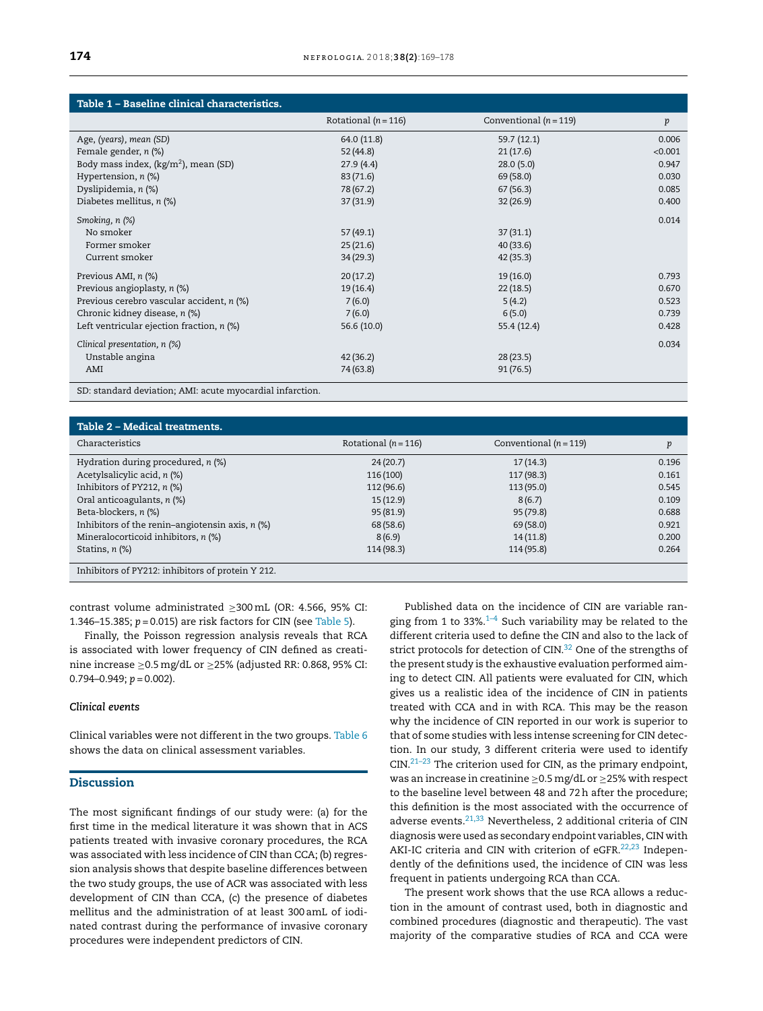<span id="page-5-0"></span>

| Table 1 - Baseline clinical characteristics. |                      |                          |         |
|----------------------------------------------|----------------------|--------------------------|---------|
|                                              | Rotational $(n=116)$ | Conventional $(n = 119)$ | p       |
| Age, (years), mean (SD)                      | 64.0 (11.8)          | 59.7 (12.1)              | 0.006   |
| Female gender, n (%)                         | 52(44.8)             | 21(17.6)                 | < 0.001 |
| Body mass index, $(kg/m2)$ , mean (SD)       | 27.9(4.4)            | 28.0(5.0)                | 0.947   |
| Hypertension, n (%)                          | 83(71.6)             | 69 (58.0)                | 0.030   |
| Dyslipidemia, n (%)                          | 78 (67.2)            | 67(56.3)                 | 0.085   |
| Diabetes mellitus, n (%)                     | 37(31.9)             | 32(26.9)                 | 0.400   |
| Smoking, n (%)                               |                      |                          | 0.014   |
| No smoker                                    | 57(49.1)             | 37(31.1)                 |         |
| Former smoker                                | 25(21.6)             | 40(33.6)                 |         |
| Current smoker                               | 34(29.3)             | 42(35.3)                 |         |
| Previous AMI, n (%)                          | 20(17.2)             | 19(16.0)                 | 0.793   |
| Previous angioplasty, n (%)                  | 19(16.4)             | 22(18.5)                 | 0.670   |
| Previous cerebro vascular accident, n (%)    | 7(6.0)               | 5(4.2)                   | 0.523   |
| Chronic kidney disease, n (%)                | 7(6.0)               | 6(5.0)                   | 0.739   |
| Left ventricular ejection fraction, $n$ (%)  | 56.6 (10.0)          | 55.4 (12.4)              | 0.428   |
| Clinical presentation, n (%)                 |                      |                          | 0.034   |
| Unstable angina                              | 42(36.2)             | 28(23.5)                 |         |
| AMI                                          | 74 (63.8)            | 91(76.5)                 |         |
| $\cdots$                                     |                      |                          |         |

SD: standard deviation; AMI: acute myocardial infarction.

| Table 2 - Medical treatments.                     |                          |                          |       |
|---------------------------------------------------|--------------------------|--------------------------|-------|
| Characteristics                                   | Rotational ( $n = 116$ ) | Conventional $(n = 119)$ | p     |
| Hydration during procedured, $n$ (%)              | 24(20.7)                 | 17(14.3)                 | 0.196 |
| Acetylsalicylic acid, n (%)                       | 116(100)                 | 117(98.3)                | 0.161 |
| Inhibitors of PY212, $n$ (%)                      | 112 (96.6)               | 113 (95.0)               | 0.545 |
| Oral anticoagulants, n (%)                        | 15(12.9)                 | 8(6.7)                   | 0.109 |
| Beta-blockers, n (%)                              | 95(81.9)                 | 95(79.8)                 | 0.688 |
| Inhibitors of the renin-angiotensin axis, $n$ (%) | 68 (58.6)                | 69(58.0)                 | 0.921 |
| Mineralocorticoid inhibitors, n (%)               | 8(6.9)                   | 14(11.8)                 | 0.200 |
| Statins, $n$ $%$                                  | 114 (98.3)               | 114 (95.8)               | 0.264 |
| Inhibitors of PY212: inhibitors of protein Y 212. |                          |                          |       |

contrast volume administrated ≥300mL (OR: 4.566, 95% CI: 1.346–15.385; *p* = 0.015) are risk factors for CIN (see [Table](#page-7-0) 5).

Finally, the Poisson regression analysis reveals that RCA is associated with lower frequency of CIN defined as creatinine increase ≥0.5mg/dL or ≥25% (adjusted RR: 0.868, 95% CI:  $0.794 - 0.949$ ;  $p = 0.002$ ).

## *Clinical events*

Clinical variables were not different in the two groups. [Table](#page-7-0) 6 shows the data on clinical assessment variables.

# **Discussion**

The most significant findings of our study were: (a) for the first time in the medical literature it was shown that in ACS patients treated with invasive coronary procedures, the RCA was associated with less incidence of CIN than CCA; (b) regression analysis shows that despite baseline differences between the two study groups, the use of ACR was associated with less development of CIN than CCA, (c) the presence of diabetes mellitus and the administration of at least 300 amL of iodinated contrast during the performance of invasive coronary procedures were independent predictors of CIN.

Published data on the incidence of CIN are variable ranging from 1 to 33%. $1-4$  Such variability may be related to the different criteria used to define the CIN and also to the lack of strict protocols for detection of CIN.<sup>[32](#page-9-0)</sup> One of the strengths of the present study is the exhaustive evaluation performed aiming to detect CIN. All patients were evaluated for CIN, which gives us a realistic idea of the incidence of CIN in patients treated with CCA and in with RCA. This may be the reason why the incidence of CIN reported in our work is superior to that of some studies with less intense screening for CIN detection. In our study, 3 different criteria were used to identify CIN.[21–23](#page-8-0) The criterion used for CIN, as the primary endpoint, was an increase in creatinine ≥0.5mg/dL or ≥25% with respect to the baseline level between 48 and 72h after the procedure; this definition is the most associated with the occurrence of adverse events. $21,33$  Nevertheless, 2 additional criteria of CIN diagnosis were used as secondary endpoint variables, CIN with AKI-IC criteria and CIN with criterion of eGFR.<sup>[22,23](#page-8-0)</sup> Independently of the definitions used, the incidence of CIN was less frequent in patients undergoing RCA than CCA.

The present work shows that the use RCA allows a reduction in the amount of contrast used, both in diagnostic and combined procedures (diagnostic and therapeutic). The vast majority of the comparative studies of RCA and CCA were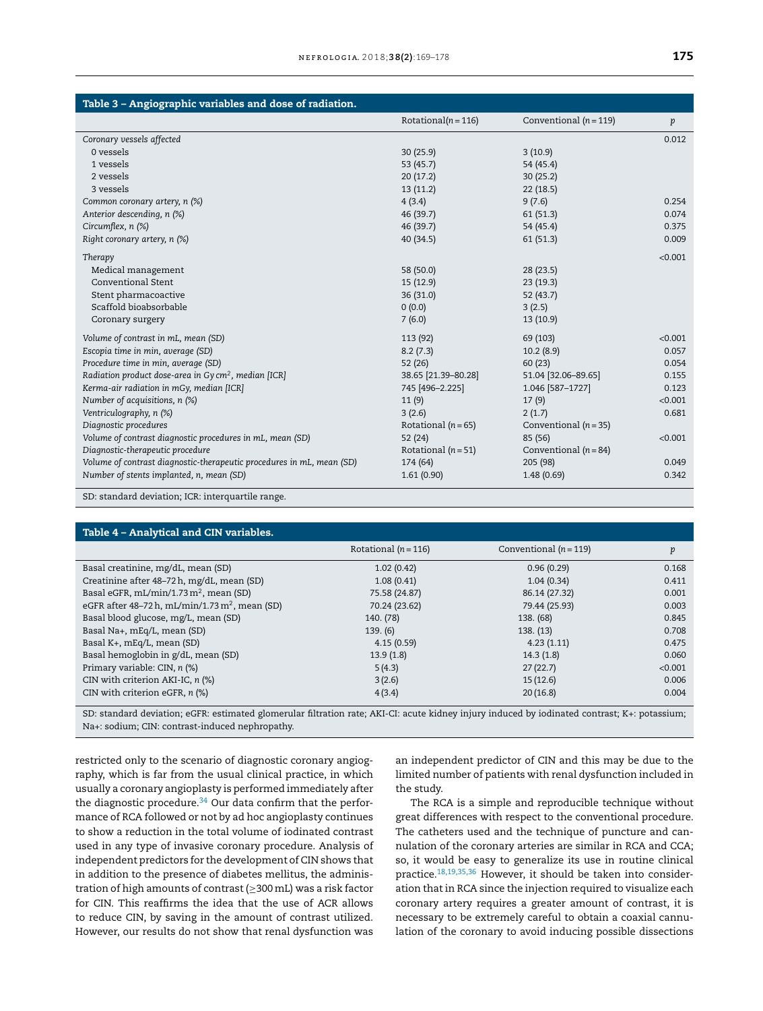<span id="page-6-0"></span>

| Table 3 - Angiographic variables and dose of radiation.                                                        |         |
|----------------------------------------------------------------------------------------------------------------|---------|
| Rotational( $n = 116$ )<br>Conventional $(n = 119)$                                                            | p       |
| Coronary vessels affected                                                                                      | 0.012   |
| 0 vessels<br>30(25.9)<br>3(10.9)                                                                               |         |
| 1 yessels<br>53 (45.7)<br>54 (45.4)                                                                            |         |
| 2 yessels<br>20(17.2)<br>30(25.2)                                                                              |         |
| 3 vessels<br>13(11.2)<br>22(18.5)                                                                              |         |
| Common coronary artery, n (%)<br>4(3.4)<br>9(7.6)                                                              | 0.254   |
| Anterior descending, n (%)<br>46 (39.7)<br>61(51.3)                                                            | 0.074   |
| Circumflex, n (%)<br>54 (45.4)<br>46 (39.7)                                                                    | 0.375   |
| Right coronary artery, n (%)<br>40(34.5)<br>61(51.3)                                                           | 0.009   |
| Therapy                                                                                                        | < 0.001 |
| Medical management<br>58 (50.0)<br>28(23.5)                                                                    |         |
| Conventional Stent<br>15(12.9)<br>23(19.3)                                                                     |         |
| Stent pharmacoactive<br>36(31.0)<br>52(43.7)                                                                   |         |
| Scaffold bioabsorbable<br>0(0.0)<br>3(2.5)                                                                     |         |
| 7(6.0)<br>13(10.9)<br>Coronary surgery                                                                         |         |
| Volume of contrast in mL, mean (SD)<br>69 (103)<br>113 (92)                                                    | < 0.001 |
| Escopia time in min, average (SD)<br>8.2(7.3)<br>10.2(8.9)                                                     | 0.057   |
| Procedure time in min, average (SD)<br>52(26)<br>60(23)                                                        | 0.054   |
| Radiation product dose-area in Gy cm <sup>2</sup> , median [ICR]<br>51.04 [32.06-89.65]<br>38.65 [21.39-80.28] | 0.155   |
| Kerma-air radiation in mGy, median [ICR]<br>745 [496-2.225]<br>1.046 [587-1727]                                | 0.123   |
| Number of acquisitions, n (%)<br>11(9)<br>17(9)                                                                | < 0.001 |
| Ventriculography, n (%)<br>3(2.6)<br>2(1.7)                                                                    | 0.681   |
| Diagnostic procedures<br>Conventional $(n = 35)$<br>Rotational ( $n = 65$ )                                    |         |
| Volume of contrast diagnostic procedures in mL, mean (SD)<br>52 (24)<br>85 (56)                                | < 0.001 |
| Diagnostic-therapeutic procedure<br>Rotational $(n = 51)$<br>Conventional $(n = 84)$                           |         |
| Volume of contrast diagnostic-therapeutic procedures in mL, mean (SD)<br>174 (64)<br>205 (98)                  | 0.049   |
| Number of stents implanted, n, mean (SD)<br>1.61(0.90)<br>1.48(0.69)                                           | 0.342   |

SD: standard deviation; ICR: interquartile range.

# Table 4 – Analytical and CIN variables.

|                                                              | Rotational ( $n = 116$ ) | Conventional $(n = 119)$ | p       |
|--------------------------------------------------------------|--------------------------|--------------------------|---------|
| Basal creatinine, mg/dL, mean (SD)                           | 1.02(0.42)               | 0.96(0.29)               | 0.168   |
| Creatinine after 48-72 h, mg/dL, mean (SD)                   | 1.08(0.41)               | 1.04(0.34)               | 0.411   |
| Basal eGFR, $mL/min/1.73 m2$ , mean (SD)                     | 75.58 (24.87)            | 86.14 (27.32)            | 0.001   |
| eGFR after $48-72$ h, mL/min/1.73 m <sup>2</sup> , mean (SD) | 70.24 (23.62)            | 79.44 (25.93)            | 0.003   |
| Basal blood glucose, mg/L, mean (SD)                         | 140. (78)                | 138. (68)                | 0.845   |
| Basal Na+, mEq/L, mean (SD)                                  | 139. (6)                 | 138. (13)                | 0.708   |
| Basal K+, mEq/L, mean (SD)                                   | 4.15(0.59)               | 4.23(1.11)               | 0.475   |
| Basal hemoglobin in g/dL, mean (SD)                          | 13.9(1.8)                | 14.3(1.8)                | 0.060   |
| Primary variable: CIN, n (%)                                 | 5(4.3)                   | 27(22.7)                 | < 0.001 |
| CIN with criterion AKI-IC, $n$ (%)                           | 3(2.6)                   | 15(12.6)                 | 0.006   |
| CIN with criterion eGFR, n (%)                               | 4(3.4)                   | 20(16.8)                 | 0.004   |

SD: standard deviation; eGFR: estimated glomerular filtration rate; AKI-CI: acute kidney injury induced by iodinated contrast; K+: potassium; Na+: sodium; CIN: contrast-induced nephropathy.

restricted only to the scenario of diagnostic coronary angiography, which is far from the usual clinical practice, in which usually a coronary angioplasty is performed immediately after the diagnostic procedure. $34$  Our data confirm that the performance of RCA followed or not by ad hoc angioplasty continues to show a reduction in the total volume of iodinated contrast used in any type of invasive coronary procedure. Analysis of independent predictors for the development of CIN shows that in addition to the presence of diabetes mellitus, the administration of high amounts of contrast (≥300mL) was a risk factor for CIN. This reaffirms the idea that the use of ACR allows to reduce CIN, by saving in the amount of contrast utilized. However, our results do not show that renal dysfunction was

an independent predictor of CIN and this may be due to the limited number of patients with renal dysfunction included in the study.

The RCA is a simple and reproducible technique without great differences with respect to the conventional procedure. The catheters used and the technique of puncture and cannulation of the coronary arteries are similar in RCA and CCA; so, it would be easy to generalize its use in routine clinical practice.[18,19,35,36](#page-8-0) However, it should be taken into consideration that in RCA since the injection required to visualize each coronary artery requires a greater amount of contrast, it is necessary to be extremely careful to obtain a coaxial cannulation of the coronary to avoid inducing possible dissections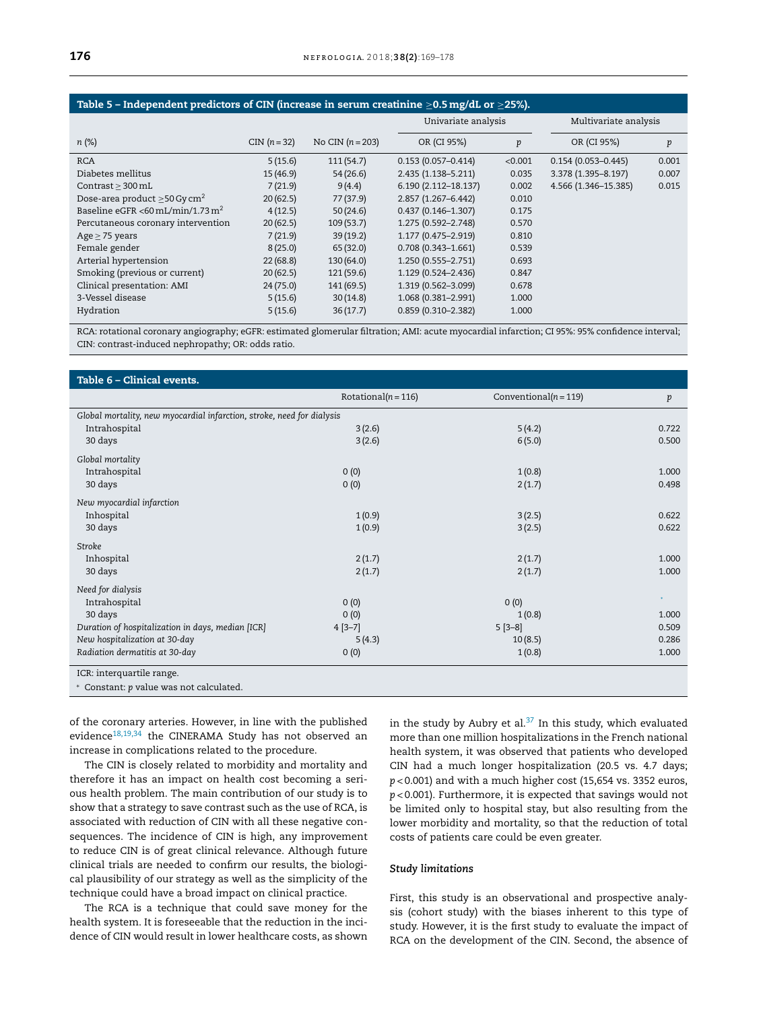<span id="page-7-0"></span>

| Table 5 - Independent predictors of CIN (increase in serum creatinine $\geq$ 0.5 mg/dL or $\geq$ 25%). |                |                    |                        |         |                        |       |
|--------------------------------------------------------------------------------------------------------|----------------|--------------------|------------------------|---------|------------------------|-------|
|                                                                                                        |                |                    | Univariate analysis    |         | Multivariate analysis  |       |
| $n (\%)$                                                                                               | $CIN (n = 32)$ | No CIN $(n = 203)$ | OR (CI 95%)            | p       | OR (CI 95%)            | p     |
| <b>RCA</b>                                                                                             | 5(15.6)        | 111(54.7)          | $0.153(0.057 - 0.414)$ | < 0.001 | $0.154(0.053 - 0.445)$ | 0.001 |
| Diabetes mellitus                                                                                      | 15(46.9)       | 54(26.6)           | 2.435 (1.138-5.211)    | 0.035   | 3.378 (1.395-8.197)    | 0.007 |
| Contrast $\geq 300 \text{ mL}$                                                                         | 7(21.9)        | 9(4.4)             | 6.190 (2.112-18.137)   | 0.002   | 4.566 (1.346-15.385)   | 0.015 |
| Dose-area product $\geq$ 50 Gy cm <sup>2</sup>                                                         | 20(62.5)       | 77 (37.9)          | 2.857 (1.267-6.442)    | 0.010   |                        |       |
| Baseline eGFR <60 mL/min/1.73 m <sup>2</sup>                                                           | 4(12.5)        | 50(24.6)           | $0.437(0.146 - 1.307)$ | 0.175   |                        |       |
| Percutaneous coronary intervention                                                                     | 20(62.5)       | 109(53.7)          | 1.275 (0.592-2.748)    | 0.570   |                        |       |
| Age $\geq$ 75 years                                                                                    | 7(21.9)        | 39(19.2)           | 1.177 (0.475-2.919)    | 0.810   |                        |       |
| Female gender                                                                                          | 8(25.0)        | 65 (32.0)          | $0.708(0.343 - 1.661)$ | 0.539   |                        |       |
| Arterial hypertension                                                                                  | 22(68.8)       | 130(64.0)          | 1.250 (0.555-2.751)    | 0.693   |                        |       |
| Smoking (previous or current)                                                                          | 20(62.5)       | 121 (59.6)         | 1.129 (0.524-2.436)    | 0.847   |                        |       |
| Clinical presentation: AMI                                                                             | 24(75.0)       | 141 (69.5)         | 1.319 (0.562-3.099)    | 0.678   |                        |       |
| 3-Vessel disease                                                                                       | 5(15.6)        | 30(14.8)           | 1.068 (0.381-2.991)    | 1.000   |                        |       |
| Hydration                                                                                              | 5(15.6)        | 36(17.7)           | $0.859(0.310 - 2.382)$ | 1.000   |                        |       |

RCA: rotational coronary angiography; eGFR: estimated glomerular filtration; AMI: acute myocardial infarction; CI 95%: 95% confidence interval; CIN: contrast-induced nephropathy; OR: odds ratio.

| Table 6 - Clinical events. |  |  |
|----------------------------|--|--|
|----------------------------|--|--|

|                                                                        | Rotational( $n = 116$ ) | Conventional( $n = 119$ ) | p     |
|------------------------------------------------------------------------|-------------------------|---------------------------|-------|
| Global mortality, new myocardial infarction, stroke, need for dialysis |                         |                           |       |
| Intrahospital                                                          | 3(2.6)                  | 5(4.2)                    | 0.722 |
| 30 days                                                                | 3(2.6)                  | 6(5.0)                    | 0.500 |
| Global mortality                                                       |                         |                           |       |
| Intrahospital                                                          | 0(0)                    | 1(0.8)                    | 1.000 |
| 30 days                                                                | 0(0)                    | 2(1.7)                    | 0.498 |
| New myocardial infarction                                              |                         |                           |       |
| Inhospital                                                             | 1(0.9)                  | 3(2.5)                    | 0.622 |
| 30 days                                                                | 1(0.9)                  | 3(2.5)                    | 0.622 |
| Stroke                                                                 |                         |                           |       |
| Inhospital                                                             | 2(1.7)                  | 2(1.7)                    | 1.000 |
| 30 days                                                                | 2(1.7)                  | 2(1.7)                    | 1.000 |
| Need for dialysis                                                      |                         |                           |       |
| Intrahospital                                                          | 0(0)                    | 0(0)                      |       |
| 30 days                                                                | 0(0)                    | 1(0.8)                    | 1.000 |
| Duration of hospitalization in days, median [ICR]                      | $4 [3 - 7]$             | $5[3-8]$                  | 0.509 |
| New hospitalization at 30-day                                          | 5(4.3)                  | 10(8.5)                   | 0.286 |
| Radiation dermatitis at 30-day                                         | 0(0)                    | 1(0.8)                    | 1.000 |
| ICR: interquartile range.                                              |                         |                           |       |
| * Constant: p value was not calculated.                                |                         |                           |       |

of the coronary arteries. However, in line with the published evidence<sup>[18,19,34](#page-8-0)</sup> the CINERAMA Study has not observed an increase in complications related to the procedure.

The CIN is closely related to morbidity and mortality and therefore it has an impact on health cost becoming a serious health problem. The main contribution of our study is to show that a strategy to save contrast such as the use of RCA, is associated with reduction of CIN with all these negative consequences. The incidence of CIN is high, any improvement to reduce CIN is of great clinical relevance. Although future clinical trials are needed to confirm our results, the biological plausibility of our strategy as well as the simplicity of the technique could have a broad impact on clinical practice.

The RCA is a technique that could save money for the health system. It is foreseeable that the reduction in the incidence of CIN would result in lower healthcare costs, as shown in the study by Aubry et al. $37$  In this study, which evaluated more than one million hospitalizations in the French national health system, it was observed that patients who developed CIN had a much longer hospitalization (20.5 vs. 4.7 days; *p* < 0.001) and with a much higher cost (15,654 vs. 3352 euros, *p* < 0.001). Furthermore, it is expected that savings would not be limited only to hospital stay, but also resulting from the lower morbidity and mortality, so that the reduction of total costs of patients care could be even greater.

#### *Study limitations*

First, this study is an observational and prospective analysis (cohort study) with the biases inherent to this type of study. However, it is the first study to evaluate the impact of RCA on the development of the CIN. Second, the absence of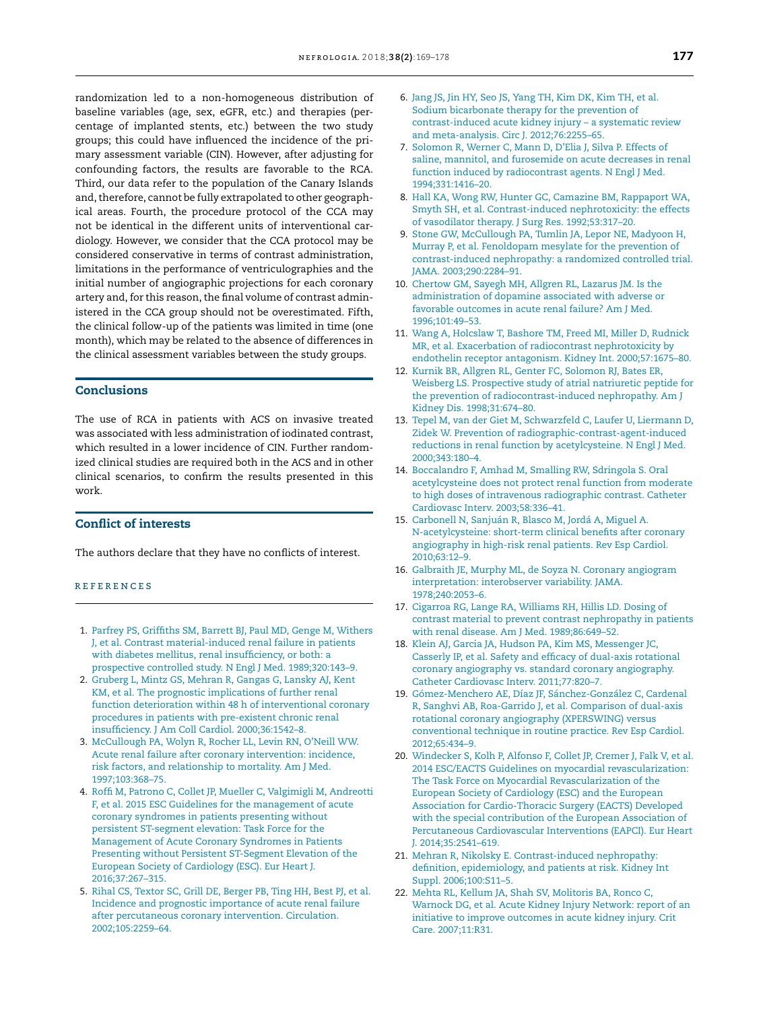<span id="page-8-0"></span>randomization led to a non-homogeneous distribution of baseline variables (age, sex, eGFR, etc.) and therapies (percentage of implanted stents, etc.) between the two study groups; this could have influenced the incidence of the primary assessment variable (CIN). However, after adjusting for confounding factors, the results are favorable to the RCA. Third, our data refer to the population of the Canary Islands and, therefore, cannot be fully extrapolated to other geographical areas. Fourth, the procedure protocol of the CCA may not be identical in the different units of interventional cardiology. However, we consider that the CCA protocol may be considered conservative in terms of contrast administration, limitations in the performance of ventriculographies and the initial number of angiographic projections for each coronary artery and, for this reason, the final volume of contrast administered in the CCA group should not be overestimated. Fifth, the clinical follow-up of the patients was limited in time (one month), which may be related to the absence of differences in the clinical assessment variables between the study groups.

# **Conclusions**

The use of RCA in patients with ACS on invasive treated was associated with less administration of iodinated contrast, which resulted in a lower incidence of CIN. Further randomized clinical studies are required both in the ACS and in other clinical scenarios, to confirm the results presented in this work.

# Conflict of interests

The authors declare that they have no conflicts of interest.

## r e f e r enc e s

- 1. [Parfrey](http://refhub.elsevier.com/S2013-2514(18)30024-5/sbref0190) [PS,](http://refhub.elsevier.com/S2013-2514(18)30024-5/sbref0190) [Griffiths](http://refhub.elsevier.com/S2013-2514(18)30024-5/sbref0190) [SM,](http://refhub.elsevier.com/S2013-2514(18)30024-5/sbref0190) [Barrett](http://refhub.elsevier.com/S2013-2514(18)30024-5/sbref0190) [BJ,](http://refhub.elsevier.com/S2013-2514(18)30024-5/sbref0190) [Paul](http://refhub.elsevier.com/S2013-2514(18)30024-5/sbref0190) [MD,](http://refhub.elsevier.com/S2013-2514(18)30024-5/sbref0190) [Genge](http://refhub.elsevier.com/S2013-2514(18)30024-5/sbref0190) [M,](http://refhub.elsevier.com/S2013-2514(18)30024-5/sbref0190) [Withers](http://refhub.elsevier.com/S2013-2514(18)30024-5/sbref0190) [J,](http://refhub.elsevier.com/S2013-2514(18)30024-5/sbref0190) [et](http://refhub.elsevier.com/S2013-2514(18)30024-5/sbref0190) [al.](http://refhub.elsevier.com/S2013-2514(18)30024-5/sbref0190) [Contrast](http://refhub.elsevier.com/S2013-2514(18)30024-5/sbref0190) [material-induced](http://refhub.elsevier.com/S2013-2514(18)30024-5/sbref0190) [renal](http://refhub.elsevier.com/S2013-2514(18)30024-5/sbref0190) [failure](http://refhub.elsevier.com/S2013-2514(18)30024-5/sbref0190) [in](http://refhub.elsevier.com/S2013-2514(18)30024-5/sbref0190) [patients](http://refhub.elsevier.com/S2013-2514(18)30024-5/sbref0190) [with](http://refhub.elsevier.com/S2013-2514(18)30024-5/sbref0190) [diabetes](http://refhub.elsevier.com/S2013-2514(18)30024-5/sbref0190) [mellitus,](http://refhub.elsevier.com/S2013-2514(18)30024-5/sbref0190) [renal](http://refhub.elsevier.com/S2013-2514(18)30024-5/sbref0190) [insufficiency,](http://refhub.elsevier.com/S2013-2514(18)30024-5/sbref0190) [or](http://refhub.elsevier.com/S2013-2514(18)30024-5/sbref0190) [both:](http://refhub.elsevier.com/S2013-2514(18)30024-5/sbref0190) [a](http://refhub.elsevier.com/S2013-2514(18)30024-5/sbref0190) [prospective](http://refhub.elsevier.com/S2013-2514(18)30024-5/sbref0190) [controlled](http://refhub.elsevier.com/S2013-2514(18)30024-5/sbref0190) [study.](http://refhub.elsevier.com/S2013-2514(18)30024-5/sbref0190) [N](http://refhub.elsevier.com/S2013-2514(18)30024-5/sbref0190) [Engl](http://refhub.elsevier.com/S2013-2514(18)30024-5/sbref0190) [J](http://refhub.elsevier.com/S2013-2514(18)30024-5/sbref0190) [Med.](http://refhub.elsevier.com/S2013-2514(18)30024-5/sbref0190) [1989;320:143–9.](http://refhub.elsevier.com/S2013-2514(18)30024-5/sbref0190)
- 2. [Gruberg](http://refhub.elsevier.com/S2013-2514(18)30024-5/sbref0195) [L,](http://refhub.elsevier.com/S2013-2514(18)30024-5/sbref0195) [Mintz](http://refhub.elsevier.com/S2013-2514(18)30024-5/sbref0195) [GS,](http://refhub.elsevier.com/S2013-2514(18)30024-5/sbref0195) [Mehran](http://refhub.elsevier.com/S2013-2514(18)30024-5/sbref0195) [R,](http://refhub.elsevier.com/S2013-2514(18)30024-5/sbref0195) [Gangas](http://refhub.elsevier.com/S2013-2514(18)30024-5/sbref0195) [G,](http://refhub.elsevier.com/S2013-2514(18)30024-5/sbref0195) [Lansky](http://refhub.elsevier.com/S2013-2514(18)30024-5/sbref0195) [AJ,](http://refhub.elsevier.com/S2013-2514(18)30024-5/sbref0195) [Kent](http://refhub.elsevier.com/S2013-2514(18)30024-5/sbref0195) [KM,](http://refhub.elsevier.com/S2013-2514(18)30024-5/sbref0195) [et](http://refhub.elsevier.com/S2013-2514(18)30024-5/sbref0195) [al.](http://refhub.elsevier.com/S2013-2514(18)30024-5/sbref0195) [The](http://refhub.elsevier.com/S2013-2514(18)30024-5/sbref0195) [prognostic](http://refhub.elsevier.com/S2013-2514(18)30024-5/sbref0195) [implications](http://refhub.elsevier.com/S2013-2514(18)30024-5/sbref0195) [of](http://refhub.elsevier.com/S2013-2514(18)30024-5/sbref0195) [further](http://refhub.elsevier.com/S2013-2514(18)30024-5/sbref0195) [renal](http://refhub.elsevier.com/S2013-2514(18)30024-5/sbref0195) [function](http://refhub.elsevier.com/S2013-2514(18)30024-5/sbref0195) [deterioration](http://refhub.elsevier.com/S2013-2514(18)30024-5/sbref0195) [within](http://refhub.elsevier.com/S2013-2514(18)30024-5/sbref0195) [48](http://refhub.elsevier.com/S2013-2514(18)30024-5/sbref0195) [h](http://refhub.elsevier.com/S2013-2514(18)30024-5/sbref0195) [of](http://refhub.elsevier.com/S2013-2514(18)30024-5/sbref0195) [interventional](http://refhub.elsevier.com/S2013-2514(18)30024-5/sbref0195) [coronary](http://refhub.elsevier.com/S2013-2514(18)30024-5/sbref0195) [procedures](http://refhub.elsevier.com/S2013-2514(18)30024-5/sbref0195) [in](http://refhub.elsevier.com/S2013-2514(18)30024-5/sbref0195) [patients](http://refhub.elsevier.com/S2013-2514(18)30024-5/sbref0195) [with](http://refhub.elsevier.com/S2013-2514(18)30024-5/sbref0195) [pre-existent](http://refhub.elsevier.com/S2013-2514(18)30024-5/sbref0195) [chronic](http://refhub.elsevier.com/S2013-2514(18)30024-5/sbref0195) [renal](http://refhub.elsevier.com/S2013-2514(18)30024-5/sbref0195) [insufficiency.](http://refhub.elsevier.com/S2013-2514(18)30024-5/sbref0195) [J](http://refhub.elsevier.com/S2013-2514(18)30024-5/sbref0195) [Am](http://refhub.elsevier.com/S2013-2514(18)30024-5/sbref0195) [Coll](http://refhub.elsevier.com/S2013-2514(18)30024-5/sbref0195) [Cardiol.](http://refhub.elsevier.com/S2013-2514(18)30024-5/sbref0195) [2000;36:1542–8.](http://refhub.elsevier.com/S2013-2514(18)30024-5/sbref0195)
- 3. [McCullough](http://refhub.elsevier.com/S2013-2514(18)30024-5/sbref0200) [PA,](http://refhub.elsevier.com/S2013-2514(18)30024-5/sbref0200) [Wolyn](http://refhub.elsevier.com/S2013-2514(18)30024-5/sbref0200) [R,](http://refhub.elsevier.com/S2013-2514(18)30024-5/sbref0200) [Rocher](http://refhub.elsevier.com/S2013-2514(18)30024-5/sbref0200) [LL,](http://refhub.elsevier.com/S2013-2514(18)30024-5/sbref0200) [Levin](http://refhub.elsevier.com/S2013-2514(18)30024-5/sbref0200) [RN,](http://refhub.elsevier.com/S2013-2514(18)30024-5/sbref0200) [O'Neill](http://refhub.elsevier.com/S2013-2514(18)30024-5/sbref0200) [WW.](http://refhub.elsevier.com/S2013-2514(18)30024-5/sbref0200) [Acute](http://refhub.elsevier.com/S2013-2514(18)30024-5/sbref0200) [renal](http://refhub.elsevier.com/S2013-2514(18)30024-5/sbref0200) [failure](http://refhub.elsevier.com/S2013-2514(18)30024-5/sbref0200) [after](http://refhub.elsevier.com/S2013-2514(18)30024-5/sbref0200) [coronary](http://refhub.elsevier.com/S2013-2514(18)30024-5/sbref0200) [intervention:](http://refhub.elsevier.com/S2013-2514(18)30024-5/sbref0200) [incidence,](http://refhub.elsevier.com/S2013-2514(18)30024-5/sbref0200) [risk](http://refhub.elsevier.com/S2013-2514(18)30024-5/sbref0200) [factors,](http://refhub.elsevier.com/S2013-2514(18)30024-5/sbref0200) [and](http://refhub.elsevier.com/S2013-2514(18)30024-5/sbref0200) [relationship](http://refhub.elsevier.com/S2013-2514(18)30024-5/sbref0200) [to](http://refhub.elsevier.com/S2013-2514(18)30024-5/sbref0200) [mortality.](http://refhub.elsevier.com/S2013-2514(18)30024-5/sbref0200) [Am](http://refhub.elsevier.com/S2013-2514(18)30024-5/sbref0200) [J](http://refhub.elsevier.com/S2013-2514(18)30024-5/sbref0200) [Med.](http://refhub.elsevier.com/S2013-2514(18)30024-5/sbref0200) [1997;103:368–75.](http://refhub.elsevier.com/S2013-2514(18)30024-5/sbref0200)
- 4. [Roffi](http://refhub.elsevier.com/S2013-2514(18)30024-5/sbref0205) [M,](http://refhub.elsevier.com/S2013-2514(18)30024-5/sbref0205) [Patrono](http://refhub.elsevier.com/S2013-2514(18)30024-5/sbref0205) [C,](http://refhub.elsevier.com/S2013-2514(18)30024-5/sbref0205) [Collet](http://refhub.elsevier.com/S2013-2514(18)30024-5/sbref0205) [JP,](http://refhub.elsevier.com/S2013-2514(18)30024-5/sbref0205) [Mueller](http://refhub.elsevier.com/S2013-2514(18)30024-5/sbref0205) [C,](http://refhub.elsevier.com/S2013-2514(18)30024-5/sbref0205) [Valgimigli](http://refhub.elsevier.com/S2013-2514(18)30024-5/sbref0205) [M,](http://refhub.elsevier.com/S2013-2514(18)30024-5/sbref0205) [Andreotti](http://refhub.elsevier.com/S2013-2514(18)30024-5/sbref0205) [F,](http://refhub.elsevier.com/S2013-2514(18)30024-5/sbref0205) [et](http://refhub.elsevier.com/S2013-2514(18)30024-5/sbref0205) [al.](http://refhub.elsevier.com/S2013-2514(18)30024-5/sbref0205) [2015](http://refhub.elsevier.com/S2013-2514(18)30024-5/sbref0205) [ESC](http://refhub.elsevier.com/S2013-2514(18)30024-5/sbref0205) [Guidelines](http://refhub.elsevier.com/S2013-2514(18)30024-5/sbref0205) [for](http://refhub.elsevier.com/S2013-2514(18)30024-5/sbref0205) [the](http://refhub.elsevier.com/S2013-2514(18)30024-5/sbref0205) [management](http://refhub.elsevier.com/S2013-2514(18)30024-5/sbref0205) [of](http://refhub.elsevier.com/S2013-2514(18)30024-5/sbref0205) [acute](http://refhub.elsevier.com/S2013-2514(18)30024-5/sbref0205) [coronary](http://refhub.elsevier.com/S2013-2514(18)30024-5/sbref0205) [syndromes](http://refhub.elsevier.com/S2013-2514(18)30024-5/sbref0205) [in](http://refhub.elsevier.com/S2013-2514(18)30024-5/sbref0205) [patients](http://refhub.elsevier.com/S2013-2514(18)30024-5/sbref0205) [presenting](http://refhub.elsevier.com/S2013-2514(18)30024-5/sbref0205) [without](http://refhub.elsevier.com/S2013-2514(18)30024-5/sbref0205) [persistent](http://refhub.elsevier.com/S2013-2514(18)30024-5/sbref0205) [ST-segment](http://refhub.elsevier.com/S2013-2514(18)30024-5/sbref0205) [elevation:](http://refhub.elsevier.com/S2013-2514(18)30024-5/sbref0205) [Task](http://refhub.elsevier.com/S2013-2514(18)30024-5/sbref0205) [Force](http://refhub.elsevier.com/S2013-2514(18)30024-5/sbref0205) [for](http://refhub.elsevier.com/S2013-2514(18)30024-5/sbref0205) [the](http://refhub.elsevier.com/S2013-2514(18)30024-5/sbref0205) [Management](http://refhub.elsevier.com/S2013-2514(18)30024-5/sbref0205) [of](http://refhub.elsevier.com/S2013-2514(18)30024-5/sbref0205) [Acute](http://refhub.elsevier.com/S2013-2514(18)30024-5/sbref0205) [Coronary](http://refhub.elsevier.com/S2013-2514(18)30024-5/sbref0205) [Syndromes](http://refhub.elsevier.com/S2013-2514(18)30024-5/sbref0205) [in](http://refhub.elsevier.com/S2013-2514(18)30024-5/sbref0205) [Patients](http://refhub.elsevier.com/S2013-2514(18)30024-5/sbref0205) [Presenting](http://refhub.elsevier.com/S2013-2514(18)30024-5/sbref0205) [without](http://refhub.elsevier.com/S2013-2514(18)30024-5/sbref0205) [Persistent](http://refhub.elsevier.com/S2013-2514(18)30024-5/sbref0205) [ST-Segment](http://refhub.elsevier.com/S2013-2514(18)30024-5/sbref0205) [Elevation](http://refhub.elsevier.com/S2013-2514(18)30024-5/sbref0205) [of](http://refhub.elsevier.com/S2013-2514(18)30024-5/sbref0205) [the](http://refhub.elsevier.com/S2013-2514(18)30024-5/sbref0205) [European](http://refhub.elsevier.com/S2013-2514(18)30024-5/sbref0205) [Society](http://refhub.elsevier.com/S2013-2514(18)30024-5/sbref0205) [of](http://refhub.elsevier.com/S2013-2514(18)30024-5/sbref0205) [Cardiology](http://refhub.elsevier.com/S2013-2514(18)30024-5/sbref0205) [\(ESC\).](http://refhub.elsevier.com/S2013-2514(18)30024-5/sbref0205) [Eur](http://refhub.elsevier.com/S2013-2514(18)30024-5/sbref0205) [Heart](http://refhub.elsevier.com/S2013-2514(18)30024-5/sbref0205) [J.](http://refhub.elsevier.com/S2013-2514(18)30024-5/sbref0205) [2016;37:267](http://refhub.elsevier.com/S2013-2514(18)30024-5/sbref0205)–[315.](http://refhub.elsevier.com/S2013-2514(18)30024-5/sbref0205)
- 5. [Rihal](http://refhub.elsevier.com/S2013-2514(18)30024-5/sbref0210) [CS,](http://refhub.elsevier.com/S2013-2514(18)30024-5/sbref0210) [Textor](http://refhub.elsevier.com/S2013-2514(18)30024-5/sbref0210) [SC,](http://refhub.elsevier.com/S2013-2514(18)30024-5/sbref0210) [Grill](http://refhub.elsevier.com/S2013-2514(18)30024-5/sbref0210) [DE,](http://refhub.elsevier.com/S2013-2514(18)30024-5/sbref0210) [Berger](http://refhub.elsevier.com/S2013-2514(18)30024-5/sbref0210) [PB,](http://refhub.elsevier.com/S2013-2514(18)30024-5/sbref0210) [Ting](http://refhub.elsevier.com/S2013-2514(18)30024-5/sbref0210) [HH,](http://refhub.elsevier.com/S2013-2514(18)30024-5/sbref0210) [Best](http://refhub.elsevier.com/S2013-2514(18)30024-5/sbref0210) [PJ,](http://refhub.elsevier.com/S2013-2514(18)30024-5/sbref0210) [et](http://refhub.elsevier.com/S2013-2514(18)30024-5/sbref0210) [al.](http://refhub.elsevier.com/S2013-2514(18)30024-5/sbref0210) [Incidence](http://refhub.elsevier.com/S2013-2514(18)30024-5/sbref0210) [and](http://refhub.elsevier.com/S2013-2514(18)30024-5/sbref0210) [prognostic](http://refhub.elsevier.com/S2013-2514(18)30024-5/sbref0210) [importance](http://refhub.elsevier.com/S2013-2514(18)30024-5/sbref0210) [of](http://refhub.elsevier.com/S2013-2514(18)30024-5/sbref0210) [acute](http://refhub.elsevier.com/S2013-2514(18)30024-5/sbref0210) [renal](http://refhub.elsevier.com/S2013-2514(18)30024-5/sbref0210) [failure](http://refhub.elsevier.com/S2013-2514(18)30024-5/sbref0210) [after](http://refhub.elsevier.com/S2013-2514(18)30024-5/sbref0210) [percutaneous](http://refhub.elsevier.com/S2013-2514(18)30024-5/sbref0210) [coronary](http://refhub.elsevier.com/S2013-2514(18)30024-5/sbref0210) [intervention.](http://refhub.elsevier.com/S2013-2514(18)30024-5/sbref0210) [Circulation.](http://refhub.elsevier.com/S2013-2514(18)30024-5/sbref0210) [2002;105:2259](http://refhub.elsevier.com/S2013-2514(18)30024-5/sbref0210)–[64.](http://refhub.elsevier.com/S2013-2514(18)30024-5/sbref0210)
- 6. [Jang](http://refhub.elsevier.com/S2013-2514(18)30024-5/sbref0215) [JS,](http://refhub.elsevier.com/S2013-2514(18)30024-5/sbref0215) [Jin](http://refhub.elsevier.com/S2013-2514(18)30024-5/sbref0215) [HY,](http://refhub.elsevier.com/S2013-2514(18)30024-5/sbref0215) [Seo](http://refhub.elsevier.com/S2013-2514(18)30024-5/sbref0215) [JS,](http://refhub.elsevier.com/S2013-2514(18)30024-5/sbref0215) [Yang](http://refhub.elsevier.com/S2013-2514(18)30024-5/sbref0215) [TH,](http://refhub.elsevier.com/S2013-2514(18)30024-5/sbref0215) [Kim](http://refhub.elsevier.com/S2013-2514(18)30024-5/sbref0215) [DK,](http://refhub.elsevier.com/S2013-2514(18)30024-5/sbref0215) [Kim](http://refhub.elsevier.com/S2013-2514(18)30024-5/sbref0215) [TH,](http://refhub.elsevier.com/S2013-2514(18)30024-5/sbref0215) [et](http://refhub.elsevier.com/S2013-2514(18)30024-5/sbref0215) [al.](http://refhub.elsevier.com/S2013-2514(18)30024-5/sbref0215) [Sodium](http://refhub.elsevier.com/S2013-2514(18)30024-5/sbref0215) [bicarbonate](http://refhub.elsevier.com/S2013-2514(18)30024-5/sbref0215) [therapy](http://refhub.elsevier.com/S2013-2514(18)30024-5/sbref0215) [for](http://refhub.elsevier.com/S2013-2514(18)30024-5/sbref0215) [the](http://refhub.elsevier.com/S2013-2514(18)30024-5/sbref0215) [prevention](http://refhub.elsevier.com/S2013-2514(18)30024-5/sbref0215) [of](http://refhub.elsevier.com/S2013-2514(18)30024-5/sbref0215) [contrast-induced](http://refhub.elsevier.com/S2013-2514(18)30024-5/sbref0215) [acute](http://refhub.elsevier.com/S2013-2514(18)30024-5/sbref0215) [kidney](http://refhub.elsevier.com/S2013-2514(18)30024-5/sbref0215) [injury](http://refhub.elsevier.com/S2013-2514(18)30024-5/sbref0215) [–](http://refhub.elsevier.com/S2013-2514(18)30024-5/sbref0215) [a](http://refhub.elsevier.com/S2013-2514(18)30024-5/sbref0215) [systematic](http://refhub.elsevier.com/S2013-2514(18)30024-5/sbref0215) [review](http://refhub.elsevier.com/S2013-2514(18)30024-5/sbref0215) [and](http://refhub.elsevier.com/S2013-2514(18)30024-5/sbref0215) [meta-analysis.](http://refhub.elsevier.com/S2013-2514(18)30024-5/sbref0215) [Circ](http://refhub.elsevier.com/S2013-2514(18)30024-5/sbref0215) [J.](http://refhub.elsevier.com/S2013-2514(18)30024-5/sbref0215) [2012;76:2255–65.](http://refhub.elsevier.com/S2013-2514(18)30024-5/sbref0215)
- 7. [Solomon](http://refhub.elsevier.com/S2013-2514(18)30024-5/sbref0220) [R,](http://refhub.elsevier.com/S2013-2514(18)30024-5/sbref0220) [Werner](http://refhub.elsevier.com/S2013-2514(18)30024-5/sbref0220) [C,](http://refhub.elsevier.com/S2013-2514(18)30024-5/sbref0220) [Mann](http://refhub.elsevier.com/S2013-2514(18)30024-5/sbref0220) [D,](http://refhub.elsevier.com/S2013-2514(18)30024-5/sbref0220) [D'Elia](http://refhub.elsevier.com/S2013-2514(18)30024-5/sbref0220) [J,](http://refhub.elsevier.com/S2013-2514(18)30024-5/sbref0220) [Silva](http://refhub.elsevier.com/S2013-2514(18)30024-5/sbref0220) [P.](http://refhub.elsevier.com/S2013-2514(18)30024-5/sbref0220) [Effects](http://refhub.elsevier.com/S2013-2514(18)30024-5/sbref0220) [of](http://refhub.elsevier.com/S2013-2514(18)30024-5/sbref0220) [saline,](http://refhub.elsevier.com/S2013-2514(18)30024-5/sbref0220) [mannitol,](http://refhub.elsevier.com/S2013-2514(18)30024-5/sbref0220) [and](http://refhub.elsevier.com/S2013-2514(18)30024-5/sbref0220) [furosemide](http://refhub.elsevier.com/S2013-2514(18)30024-5/sbref0220) [on](http://refhub.elsevier.com/S2013-2514(18)30024-5/sbref0220) [acute](http://refhub.elsevier.com/S2013-2514(18)30024-5/sbref0220) [decreases](http://refhub.elsevier.com/S2013-2514(18)30024-5/sbref0220) [in](http://refhub.elsevier.com/S2013-2514(18)30024-5/sbref0220) [renal](http://refhub.elsevier.com/S2013-2514(18)30024-5/sbref0220) [function](http://refhub.elsevier.com/S2013-2514(18)30024-5/sbref0220) [induced](http://refhub.elsevier.com/S2013-2514(18)30024-5/sbref0220) [by](http://refhub.elsevier.com/S2013-2514(18)30024-5/sbref0220) [radiocontrast](http://refhub.elsevier.com/S2013-2514(18)30024-5/sbref0220) [agents.](http://refhub.elsevier.com/S2013-2514(18)30024-5/sbref0220) [N](http://refhub.elsevier.com/S2013-2514(18)30024-5/sbref0220) [Engl](http://refhub.elsevier.com/S2013-2514(18)30024-5/sbref0220) [J](http://refhub.elsevier.com/S2013-2514(18)30024-5/sbref0220) [Med.](http://refhub.elsevier.com/S2013-2514(18)30024-5/sbref0220) [1994;331:1416–20.](http://refhub.elsevier.com/S2013-2514(18)30024-5/sbref0220)
- 8. [Hall](http://refhub.elsevier.com/S2013-2514(18)30024-5/sbref0225) [KA,](http://refhub.elsevier.com/S2013-2514(18)30024-5/sbref0225) [Wong](http://refhub.elsevier.com/S2013-2514(18)30024-5/sbref0225) [RW,](http://refhub.elsevier.com/S2013-2514(18)30024-5/sbref0225) [Hunter](http://refhub.elsevier.com/S2013-2514(18)30024-5/sbref0225) [GC,](http://refhub.elsevier.com/S2013-2514(18)30024-5/sbref0225) [Camazine](http://refhub.elsevier.com/S2013-2514(18)30024-5/sbref0225) [BM,](http://refhub.elsevier.com/S2013-2514(18)30024-5/sbref0225) [Rappaport](http://refhub.elsevier.com/S2013-2514(18)30024-5/sbref0225) [WA,](http://refhub.elsevier.com/S2013-2514(18)30024-5/sbref0225) [Smyth](http://refhub.elsevier.com/S2013-2514(18)30024-5/sbref0225) [SH,](http://refhub.elsevier.com/S2013-2514(18)30024-5/sbref0225) [et](http://refhub.elsevier.com/S2013-2514(18)30024-5/sbref0225) [al.](http://refhub.elsevier.com/S2013-2514(18)30024-5/sbref0225) [Contrast-induced](http://refhub.elsevier.com/S2013-2514(18)30024-5/sbref0225) [nephrotoxicity:](http://refhub.elsevier.com/S2013-2514(18)30024-5/sbref0225) [the](http://refhub.elsevier.com/S2013-2514(18)30024-5/sbref0225) [effects](http://refhub.elsevier.com/S2013-2514(18)30024-5/sbref0225) [of](http://refhub.elsevier.com/S2013-2514(18)30024-5/sbref0225) [vasodilator](http://refhub.elsevier.com/S2013-2514(18)30024-5/sbref0225) [therapy.](http://refhub.elsevier.com/S2013-2514(18)30024-5/sbref0225) [J](http://refhub.elsevier.com/S2013-2514(18)30024-5/sbref0225) [Surg](http://refhub.elsevier.com/S2013-2514(18)30024-5/sbref0225) [Res.](http://refhub.elsevier.com/S2013-2514(18)30024-5/sbref0225) [1992;53:317–20.](http://refhub.elsevier.com/S2013-2514(18)30024-5/sbref0225)
- 9. [Stone](http://refhub.elsevier.com/S2013-2514(18)30024-5/sbref0230) [GW,](http://refhub.elsevier.com/S2013-2514(18)30024-5/sbref0230) [McCullough](http://refhub.elsevier.com/S2013-2514(18)30024-5/sbref0230) [PA,](http://refhub.elsevier.com/S2013-2514(18)30024-5/sbref0230) [Tumlin](http://refhub.elsevier.com/S2013-2514(18)30024-5/sbref0230) [JA,](http://refhub.elsevier.com/S2013-2514(18)30024-5/sbref0230) [Lepor](http://refhub.elsevier.com/S2013-2514(18)30024-5/sbref0230) [NE,](http://refhub.elsevier.com/S2013-2514(18)30024-5/sbref0230) [Madyoon](http://refhub.elsevier.com/S2013-2514(18)30024-5/sbref0230) [H,](http://refhub.elsevier.com/S2013-2514(18)30024-5/sbref0230) [Murray](http://refhub.elsevier.com/S2013-2514(18)30024-5/sbref0230) [P,](http://refhub.elsevier.com/S2013-2514(18)30024-5/sbref0230) [et](http://refhub.elsevier.com/S2013-2514(18)30024-5/sbref0230) [al.](http://refhub.elsevier.com/S2013-2514(18)30024-5/sbref0230) [Fenoldopam](http://refhub.elsevier.com/S2013-2514(18)30024-5/sbref0230) [mesylate](http://refhub.elsevier.com/S2013-2514(18)30024-5/sbref0230) [for](http://refhub.elsevier.com/S2013-2514(18)30024-5/sbref0230) [the](http://refhub.elsevier.com/S2013-2514(18)30024-5/sbref0230) [prevention](http://refhub.elsevier.com/S2013-2514(18)30024-5/sbref0230) [of](http://refhub.elsevier.com/S2013-2514(18)30024-5/sbref0230) [contrast-induced](http://refhub.elsevier.com/S2013-2514(18)30024-5/sbref0230) [nephropathy:](http://refhub.elsevier.com/S2013-2514(18)30024-5/sbref0230) [a](http://refhub.elsevier.com/S2013-2514(18)30024-5/sbref0230) [randomized](http://refhub.elsevier.com/S2013-2514(18)30024-5/sbref0230) [controlled](http://refhub.elsevier.com/S2013-2514(18)30024-5/sbref0230) [trial.](http://refhub.elsevier.com/S2013-2514(18)30024-5/sbref0230) [JAMA.](http://refhub.elsevier.com/S2013-2514(18)30024-5/sbref0230) [2003;290:2284](http://refhub.elsevier.com/S2013-2514(18)30024-5/sbref0230)–[91.](http://refhub.elsevier.com/S2013-2514(18)30024-5/sbref0230)
- 10. [Chertow](http://refhub.elsevier.com/S2013-2514(18)30024-5/sbref0235) [GM,](http://refhub.elsevier.com/S2013-2514(18)30024-5/sbref0235) [Sayegh](http://refhub.elsevier.com/S2013-2514(18)30024-5/sbref0235) [MH,](http://refhub.elsevier.com/S2013-2514(18)30024-5/sbref0235) [Allgren](http://refhub.elsevier.com/S2013-2514(18)30024-5/sbref0235) [RL,](http://refhub.elsevier.com/S2013-2514(18)30024-5/sbref0235) [Lazarus](http://refhub.elsevier.com/S2013-2514(18)30024-5/sbref0235) [JM.](http://refhub.elsevier.com/S2013-2514(18)30024-5/sbref0235) [Is](http://refhub.elsevier.com/S2013-2514(18)30024-5/sbref0235) [the](http://refhub.elsevier.com/S2013-2514(18)30024-5/sbref0235) [administration](http://refhub.elsevier.com/S2013-2514(18)30024-5/sbref0235) [of](http://refhub.elsevier.com/S2013-2514(18)30024-5/sbref0235) [dopamine](http://refhub.elsevier.com/S2013-2514(18)30024-5/sbref0235) [associated](http://refhub.elsevier.com/S2013-2514(18)30024-5/sbref0235) [with](http://refhub.elsevier.com/S2013-2514(18)30024-5/sbref0235) [adverse](http://refhub.elsevier.com/S2013-2514(18)30024-5/sbref0235) [or](http://refhub.elsevier.com/S2013-2514(18)30024-5/sbref0235) [favorable](http://refhub.elsevier.com/S2013-2514(18)30024-5/sbref0235) [outcomes](http://refhub.elsevier.com/S2013-2514(18)30024-5/sbref0235) [in](http://refhub.elsevier.com/S2013-2514(18)30024-5/sbref0235) [acute](http://refhub.elsevier.com/S2013-2514(18)30024-5/sbref0235) [renal](http://refhub.elsevier.com/S2013-2514(18)30024-5/sbref0235) [failure?](http://refhub.elsevier.com/S2013-2514(18)30024-5/sbref0235) [Am](http://refhub.elsevier.com/S2013-2514(18)30024-5/sbref0235) [J](http://refhub.elsevier.com/S2013-2514(18)30024-5/sbref0235) [Med.](http://refhub.elsevier.com/S2013-2514(18)30024-5/sbref0235) [1996;101:49](http://refhub.elsevier.com/S2013-2514(18)30024-5/sbref0235)–[53.](http://refhub.elsevier.com/S2013-2514(18)30024-5/sbref0235)
- 11. [Wang](http://refhub.elsevier.com/S2013-2514(18)30024-5/sbref0240) [A,](http://refhub.elsevier.com/S2013-2514(18)30024-5/sbref0240) [Holcslaw](http://refhub.elsevier.com/S2013-2514(18)30024-5/sbref0240) [T,](http://refhub.elsevier.com/S2013-2514(18)30024-5/sbref0240) [Bashore](http://refhub.elsevier.com/S2013-2514(18)30024-5/sbref0240) [TM,](http://refhub.elsevier.com/S2013-2514(18)30024-5/sbref0240) [Freed](http://refhub.elsevier.com/S2013-2514(18)30024-5/sbref0240) [MI,](http://refhub.elsevier.com/S2013-2514(18)30024-5/sbref0240) [Miller](http://refhub.elsevier.com/S2013-2514(18)30024-5/sbref0240) [D,](http://refhub.elsevier.com/S2013-2514(18)30024-5/sbref0240) [Rudnick](http://refhub.elsevier.com/S2013-2514(18)30024-5/sbref0240) [MR,](http://refhub.elsevier.com/S2013-2514(18)30024-5/sbref0240) [et](http://refhub.elsevier.com/S2013-2514(18)30024-5/sbref0240) [al.](http://refhub.elsevier.com/S2013-2514(18)30024-5/sbref0240) [Exacerbation](http://refhub.elsevier.com/S2013-2514(18)30024-5/sbref0240) [of](http://refhub.elsevier.com/S2013-2514(18)30024-5/sbref0240) [radiocontrast](http://refhub.elsevier.com/S2013-2514(18)30024-5/sbref0240) [nephrotoxicity](http://refhub.elsevier.com/S2013-2514(18)30024-5/sbref0240) [by](http://refhub.elsevier.com/S2013-2514(18)30024-5/sbref0240) [endothelin](http://refhub.elsevier.com/S2013-2514(18)30024-5/sbref0240) [receptor](http://refhub.elsevier.com/S2013-2514(18)30024-5/sbref0240) [antagonism.](http://refhub.elsevier.com/S2013-2514(18)30024-5/sbref0240) [Kidney](http://refhub.elsevier.com/S2013-2514(18)30024-5/sbref0240) [Int.](http://refhub.elsevier.com/S2013-2514(18)30024-5/sbref0240) [2000;57:1675–80.](http://refhub.elsevier.com/S2013-2514(18)30024-5/sbref0240)
- 12. [Kurnik](http://refhub.elsevier.com/S2013-2514(18)30024-5/sbref0245) [BR,](http://refhub.elsevier.com/S2013-2514(18)30024-5/sbref0245) [Allgren](http://refhub.elsevier.com/S2013-2514(18)30024-5/sbref0245) [RL,](http://refhub.elsevier.com/S2013-2514(18)30024-5/sbref0245) [Genter](http://refhub.elsevier.com/S2013-2514(18)30024-5/sbref0245) [FC,](http://refhub.elsevier.com/S2013-2514(18)30024-5/sbref0245) [Solomon](http://refhub.elsevier.com/S2013-2514(18)30024-5/sbref0245) [RJ,](http://refhub.elsevier.com/S2013-2514(18)30024-5/sbref0245) [Bates](http://refhub.elsevier.com/S2013-2514(18)30024-5/sbref0245) [ER,](http://refhub.elsevier.com/S2013-2514(18)30024-5/sbref0245) [Weisberg](http://refhub.elsevier.com/S2013-2514(18)30024-5/sbref0245) [LS.](http://refhub.elsevier.com/S2013-2514(18)30024-5/sbref0245) [Prospective](http://refhub.elsevier.com/S2013-2514(18)30024-5/sbref0245) [study](http://refhub.elsevier.com/S2013-2514(18)30024-5/sbref0245) [of](http://refhub.elsevier.com/S2013-2514(18)30024-5/sbref0245) [atrial](http://refhub.elsevier.com/S2013-2514(18)30024-5/sbref0245) [natriuretic](http://refhub.elsevier.com/S2013-2514(18)30024-5/sbref0245) [peptide](http://refhub.elsevier.com/S2013-2514(18)30024-5/sbref0245) [for](http://refhub.elsevier.com/S2013-2514(18)30024-5/sbref0245) [the](http://refhub.elsevier.com/S2013-2514(18)30024-5/sbref0245) [prevention](http://refhub.elsevier.com/S2013-2514(18)30024-5/sbref0245) [of](http://refhub.elsevier.com/S2013-2514(18)30024-5/sbref0245) [radiocontrast-induced](http://refhub.elsevier.com/S2013-2514(18)30024-5/sbref0245) [nephropathy.](http://refhub.elsevier.com/S2013-2514(18)30024-5/sbref0245) [Am](http://refhub.elsevier.com/S2013-2514(18)30024-5/sbref0245) [J](http://refhub.elsevier.com/S2013-2514(18)30024-5/sbref0245) [Kidney](http://refhub.elsevier.com/S2013-2514(18)30024-5/sbref0245) [Dis.](http://refhub.elsevier.com/S2013-2514(18)30024-5/sbref0245) [1998;31:674–80.](http://refhub.elsevier.com/S2013-2514(18)30024-5/sbref0245)
- 13. [Tepel](http://refhub.elsevier.com/S2013-2514(18)30024-5/sbref0250) [M,](http://refhub.elsevier.com/S2013-2514(18)30024-5/sbref0250) [van](http://refhub.elsevier.com/S2013-2514(18)30024-5/sbref0250) [der](http://refhub.elsevier.com/S2013-2514(18)30024-5/sbref0250) [Giet](http://refhub.elsevier.com/S2013-2514(18)30024-5/sbref0250) [M,](http://refhub.elsevier.com/S2013-2514(18)30024-5/sbref0250) [Schwarzfeld](http://refhub.elsevier.com/S2013-2514(18)30024-5/sbref0250) [C,](http://refhub.elsevier.com/S2013-2514(18)30024-5/sbref0250) [Laufer](http://refhub.elsevier.com/S2013-2514(18)30024-5/sbref0250) [U,](http://refhub.elsevier.com/S2013-2514(18)30024-5/sbref0250) [Liermann](http://refhub.elsevier.com/S2013-2514(18)30024-5/sbref0250) [D,](http://refhub.elsevier.com/S2013-2514(18)30024-5/sbref0250) [Zidek](http://refhub.elsevier.com/S2013-2514(18)30024-5/sbref0250) [W.](http://refhub.elsevier.com/S2013-2514(18)30024-5/sbref0250) [Prevention](http://refhub.elsevier.com/S2013-2514(18)30024-5/sbref0250) [of](http://refhub.elsevier.com/S2013-2514(18)30024-5/sbref0250) [radiographic-contrast-agent-induced](http://refhub.elsevier.com/S2013-2514(18)30024-5/sbref0250) [reductions](http://refhub.elsevier.com/S2013-2514(18)30024-5/sbref0250) [in](http://refhub.elsevier.com/S2013-2514(18)30024-5/sbref0250) [renal](http://refhub.elsevier.com/S2013-2514(18)30024-5/sbref0250) [function](http://refhub.elsevier.com/S2013-2514(18)30024-5/sbref0250) [by](http://refhub.elsevier.com/S2013-2514(18)30024-5/sbref0250) [acetylcysteine.](http://refhub.elsevier.com/S2013-2514(18)30024-5/sbref0250) [N](http://refhub.elsevier.com/S2013-2514(18)30024-5/sbref0250) [Engl](http://refhub.elsevier.com/S2013-2514(18)30024-5/sbref0250) [J](http://refhub.elsevier.com/S2013-2514(18)30024-5/sbref0250) [Med.](http://refhub.elsevier.com/S2013-2514(18)30024-5/sbref0250) [2000;343:180–4.](http://refhub.elsevier.com/S2013-2514(18)30024-5/sbref0250)
- 14. [Boccalandro](http://refhub.elsevier.com/S2013-2514(18)30024-5/sbref0255) [F,](http://refhub.elsevier.com/S2013-2514(18)30024-5/sbref0255) [Amhad](http://refhub.elsevier.com/S2013-2514(18)30024-5/sbref0255) [M,](http://refhub.elsevier.com/S2013-2514(18)30024-5/sbref0255) [Smalling](http://refhub.elsevier.com/S2013-2514(18)30024-5/sbref0255) [RW,](http://refhub.elsevier.com/S2013-2514(18)30024-5/sbref0255) [Sdringola](http://refhub.elsevier.com/S2013-2514(18)30024-5/sbref0255) [S.](http://refhub.elsevier.com/S2013-2514(18)30024-5/sbref0255) [Oral](http://refhub.elsevier.com/S2013-2514(18)30024-5/sbref0255) [acetylcysteine](http://refhub.elsevier.com/S2013-2514(18)30024-5/sbref0255) [does](http://refhub.elsevier.com/S2013-2514(18)30024-5/sbref0255) [not](http://refhub.elsevier.com/S2013-2514(18)30024-5/sbref0255) [protect](http://refhub.elsevier.com/S2013-2514(18)30024-5/sbref0255) [renal](http://refhub.elsevier.com/S2013-2514(18)30024-5/sbref0255) [function](http://refhub.elsevier.com/S2013-2514(18)30024-5/sbref0255) [from](http://refhub.elsevier.com/S2013-2514(18)30024-5/sbref0255) [moderate](http://refhub.elsevier.com/S2013-2514(18)30024-5/sbref0255) [to](http://refhub.elsevier.com/S2013-2514(18)30024-5/sbref0255) [high](http://refhub.elsevier.com/S2013-2514(18)30024-5/sbref0255) [doses](http://refhub.elsevier.com/S2013-2514(18)30024-5/sbref0255) [of](http://refhub.elsevier.com/S2013-2514(18)30024-5/sbref0255) [intravenous](http://refhub.elsevier.com/S2013-2514(18)30024-5/sbref0255) [radiographic](http://refhub.elsevier.com/S2013-2514(18)30024-5/sbref0255) [contrast.](http://refhub.elsevier.com/S2013-2514(18)30024-5/sbref0255) [Catheter](http://refhub.elsevier.com/S2013-2514(18)30024-5/sbref0255) [Cardiovasc](http://refhub.elsevier.com/S2013-2514(18)30024-5/sbref0255) [Interv.](http://refhub.elsevier.com/S2013-2514(18)30024-5/sbref0255) [2003;58:336–41.](http://refhub.elsevier.com/S2013-2514(18)30024-5/sbref0255)
- 15. [Carbonell](http://refhub.elsevier.com/S2013-2514(18)30024-5/sbref0260) [N,](http://refhub.elsevier.com/S2013-2514(18)30024-5/sbref0260) [Sanjuán](http://refhub.elsevier.com/S2013-2514(18)30024-5/sbref0260) [R,](http://refhub.elsevier.com/S2013-2514(18)30024-5/sbref0260) [Blasco](http://refhub.elsevier.com/S2013-2514(18)30024-5/sbref0260) [M,](http://refhub.elsevier.com/S2013-2514(18)30024-5/sbref0260) [Jordá](http://refhub.elsevier.com/S2013-2514(18)30024-5/sbref0260) [A,](http://refhub.elsevier.com/S2013-2514(18)30024-5/sbref0260) [Miguel](http://refhub.elsevier.com/S2013-2514(18)30024-5/sbref0260) [A.](http://refhub.elsevier.com/S2013-2514(18)30024-5/sbref0260) [N-acetylcysteine:](http://refhub.elsevier.com/S2013-2514(18)30024-5/sbref0260) [short-term](http://refhub.elsevier.com/S2013-2514(18)30024-5/sbref0260) [clinical](http://refhub.elsevier.com/S2013-2514(18)30024-5/sbref0260) [benefits](http://refhub.elsevier.com/S2013-2514(18)30024-5/sbref0260) [after](http://refhub.elsevier.com/S2013-2514(18)30024-5/sbref0260) [coronary](http://refhub.elsevier.com/S2013-2514(18)30024-5/sbref0260) [angiography](http://refhub.elsevier.com/S2013-2514(18)30024-5/sbref0260) [in](http://refhub.elsevier.com/S2013-2514(18)30024-5/sbref0260) [high-risk](http://refhub.elsevier.com/S2013-2514(18)30024-5/sbref0260) [renal](http://refhub.elsevier.com/S2013-2514(18)30024-5/sbref0260) [patients.](http://refhub.elsevier.com/S2013-2514(18)30024-5/sbref0260) [Rev](http://refhub.elsevier.com/S2013-2514(18)30024-5/sbref0260) [Esp](http://refhub.elsevier.com/S2013-2514(18)30024-5/sbref0260) [Cardiol.](http://refhub.elsevier.com/S2013-2514(18)30024-5/sbref0260) [2010;63:12–9.](http://refhub.elsevier.com/S2013-2514(18)30024-5/sbref0260)
- 16. [Galbraith](http://refhub.elsevier.com/S2013-2514(18)30024-5/sbref0265) [JE,](http://refhub.elsevier.com/S2013-2514(18)30024-5/sbref0265) [Murphy](http://refhub.elsevier.com/S2013-2514(18)30024-5/sbref0265) [ML,](http://refhub.elsevier.com/S2013-2514(18)30024-5/sbref0265) [de](http://refhub.elsevier.com/S2013-2514(18)30024-5/sbref0265) [Soyza](http://refhub.elsevier.com/S2013-2514(18)30024-5/sbref0265) [N.](http://refhub.elsevier.com/S2013-2514(18)30024-5/sbref0265) [Coronary](http://refhub.elsevier.com/S2013-2514(18)30024-5/sbref0265) [angiogram](http://refhub.elsevier.com/S2013-2514(18)30024-5/sbref0265) [interpretation:](http://refhub.elsevier.com/S2013-2514(18)30024-5/sbref0265) [interobserver](http://refhub.elsevier.com/S2013-2514(18)30024-5/sbref0265) [variability.](http://refhub.elsevier.com/S2013-2514(18)30024-5/sbref0265) [JAMA.](http://refhub.elsevier.com/S2013-2514(18)30024-5/sbref0265) [1978;240:2053](http://refhub.elsevier.com/S2013-2514(18)30024-5/sbref0265)–[6.](http://refhub.elsevier.com/S2013-2514(18)30024-5/sbref0265)
- 17. [Cigarroa](http://refhub.elsevier.com/S2013-2514(18)30024-5/sbref0270) [RG,](http://refhub.elsevier.com/S2013-2514(18)30024-5/sbref0270) [Lange](http://refhub.elsevier.com/S2013-2514(18)30024-5/sbref0270) [RA,](http://refhub.elsevier.com/S2013-2514(18)30024-5/sbref0270) [Williams](http://refhub.elsevier.com/S2013-2514(18)30024-5/sbref0270) [RH,](http://refhub.elsevier.com/S2013-2514(18)30024-5/sbref0270) [Hillis](http://refhub.elsevier.com/S2013-2514(18)30024-5/sbref0270) [LD.](http://refhub.elsevier.com/S2013-2514(18)30024-5/sbref0270) [Dosing](http://refhub.elsevier.com/S2013-2514(18)30024-5/sbref0270) [of](http://refhub.elsevier.com/S2013-2514(18)30024-5/sbref0270) [contrast](http://refhub.elsevier.com/S2013-2514(18)30024-5/sbref0270) [material](http://refhub.elsevier.com/S2013-2514(18)30024-5/sbref0270) [to](http://refhub.elsevier.com/S2013-2514(18)30024-5/sbref0270) [prevent](http://refhub.elsevier.com/S2013-2514(18)30024-5/sbref0270) [contrast](http://refhub.elsevier.com/S2013-2514(18)30024-5/sbref0270) [nephropathy](http://refhub.elsevier.com/S2013-2514(18)30024-5/sbref0270) [in](http://refhub.elsevier.com/S2013-2514(18)30024-5/sbref0270) [patients](http://refhub.elsevier.com/S2013-2514(18)30024-5/sbref0270) [with](http://refhub.elsevier.com/S2013-2514(18)30024-5/sbref0270) [renal](http://refhub.elsevier.com/S2013-2514(18)30024-5/sbref0270) [disease.](http://refhub.elsevier.com/S2013-2514(18)30024-5/sbref0270) [Am](http://refhub.elsevier.com/S2013-2514(18)30024-5/sbref0270) [J](http://refhub.elsevier.com/S2013-2514(18)30024-5/sbref0270) [Med.](http://refhub.elsevier.com/S2013-2514(18)30024-5/sbref0270) [1989;86:649](http://refhub.elsevier.com/S2013-2514(18)30024-5/sbref0270)–[52.](http://refhub.elsevier.com/S2013-2514(18)30024-5/sbref0270)
- 18. [Klein](http://refhub.elsevier.com/S2013-2514(18)30024-5/sbref0275) [AJ,](http://refhub.elsevier.com/S2013-2514(18)30024-5/sbref0275) [Garcia](http://refhub.elsevier.com/S2013-2514(18)30024-5/sbref0275) [JA,](http://refhub.elsevier.com/S2013-2514(18)30024-5/sbref0275) [Hudson](http://refhub.elsevier.com/S2013-2514(18)30024-5/sbref0275) [PA,](http://refhub.elsevier.com/S2013-2514(18)30024-5/sbref0275) [Kim](http://refhub.elsevier.com/S2013-2514(18)30024-5/sbref0275) [MS,](http://refhub.elsevier.com/S2013-2514(18)30024-5/sbref0275) [Messenger](http://refhub.elsevier.com/S2013-2514(18)30024-5/sbref0275) [JC,](http://refhub.elsevier.com/S2013-2514(18)30024-5/sbref0275) [Casserly](http://refhub.elsevier.com/S2013-2514(18)30024-5/sbref0275) [IP,](http://refhub.elsevier.com/S2013-2514(18)30024-5/sbref0275) [et](http://refhub.elsevier.com/S2013-2514(18)30024-5/sbref0275) [al.](http://refhub.elsevier.com/S2013-2514(18)30024-5/sbref0275) [Safety](http://refhub.elsevier.com/S2013-2514(18)30024-5/sbref0275) [and](http://refhub.elsevier.com/S2013-2514(18)30024-5/sbref0275) [efficacy](http://refhub.elsevier.com/S2013-2514(18)30024-5/sbref0275) [of](http://refhub.elsevier.com/S2013-2514(18)30024-5/sbref0275) [dual-axis](http://refhub.elsevier.com/S2013-2514(18)30024-5/sbref0275) [rotational](http://refhub.elsevier.com/S2013-2514(18)30024-5/sbref0275) [coronary](http://refhub.elsevier.com/S2013-2514(18)30024-5/sbref0275) [angiography](http://refhub.elsevier.com/S2013-2514(18)30024-5/sbref0275) [vs.](http://refhub.elsevier.com/S2013-2514(18)30024-5/sbref0275) [standard](http://refhub.elsevier.com/S2013-2514(18)30024-5/sbref0275) [coronary](http://refhub.elsevier.com/S2013-2514(18)30024-5/sbref0275) [angiography.](http://refhub.elsevier.com/S2013-2514(18)30024-5/sbref0275) [Catheter](http://refhub.elsevier.com/S2013-2514(18)30024-5/sbref0275) [Cardiovasc](http://refhub.elsevier.com/S2013-2514(18)30024-5/sbref0275) [Interv.](http://refhub.elsevier.com/S2013-2514(18)30024-5/sbref0275) [2011;77:820–7.](http://refhub.elsevier.com/S2013-2514(18)30024-5/sbref0275)
- 19. [Gómez-Menchero](http://refhub.elsevier.com/S2013-2514(18)30024-5/sbref0280) [AE,](http://refhub.elsevier.com/S2013-2514(18)30024-5/sbref0280) [Díaz](http://refhub.elsevier.com/S2013-2514(18)30024-5/sbref0280) [JF,](http://refhub.elsevier.com/S2013-2514(18)30024-5/sbref0280) [Sánchez-González](http://refhub.elsevier.com/S2013-2514(18)30024-5/sbref0280) [C,](http://refhub.elsevier.com/S2013-2514(18)30024-5/sbref0280) [Cardenal](http://refhub.elsevier.com/S2013-2514(18)30024-5/sbref0280) [R,](http://refhub.elsevier.com/S2013-2514(18)30024-5/sbref0280) [Sanghvi](http://refhub.elsevier.com/S2013-2514(18)30024-5/sbref0280) [AB,](http://refhub.elsevier.com/S2013-2514(18)30024-5/sbref0280) [Roa-Garrido](http://refhub.elsevier.com/S2013-2514(18)30024-5/sbref0280) [J,](http://refhub.elsevier.com/S2013-2514(18)30024-5/sbref0280) [et](http://refhub.elsevier.com/S2013-2514(18)30024-5/sbref0280) [al.](http://refhub.elsevier.com/S2013-2514(18)30024-5/sbref0280) [Comparison](http://refhub.elsevier.com/S2013-2514(18)30024-5/sbref0280) [of](http://refhub.elsevier.com/S2013-2514(18)30024-5/sbref0280) [dual-axis](http://refhub.elsevier.com/S2013-2514(18)30024-5/sbref0280) [rotational](http://refhub.elsevier.com/S2013-2514(18)30024-5/sbref0280) [coronary](http://refhub.elsevier.com/S2013-2514(18)30024-5/sbref0280) [angiography](http://refhub.elsevier.com/S2013-2514(18)30024-5/sbref0280) [\(XPERSWING\)](http://refhub.elsevier.com/S2013-2514(18)30024-5/sbref0280) [versus](http://refhub.elsevier.com/S2013-2514(18)30024-5/sbref0280) [conventional](http://refhub.elsevier.com/S2013-2514(18)30024-5/sbref0280) [technique](http://refhub.elsevier.com/S2013-2514(18)30024-5/sbref0280) [in](http://refhub.elsevier.com/S2013-2514(18)30024-5/sbref0280) [routine](http://refhub.elsevier.com/S2013-2514(18)30024-5/sbref0280) [practice.](http://refhub.elsevier.com/S2013-2514(18)30024-5/sbref0280) [Rev](http://refhub.elsevier.com/S2013-2514(18)30024-5/sbref0280) [Esp](http://refhub.elsevier.com/S2013-2514(18)30024-5/sbref0280) [Cardiol.](http://refhub.elsevier.com/S2013-2514(18)30024-5/sbref0280) [2012;65:434–9.](http://refhub.elsevier.com/S2013-2514(18)30024-5/sbref0280)
- 20. [Windecker](http://refhub.elsevier.com/S2013-2514(18)30024-5/sbref0285) [S,](http://refhub.elsevier.com/S2013-2514(18)30024-5/sbref0285) [Kolh](http://refhub.elsevier.com/S2013-2514(18)30024-5/sbref0285) [P,](http://refhub.elsevier.com/S2013-2514(18)30024-5/sbref0285) [Alfonso](http://refhub.elsevier.com/S2013-2514(18)30024-5/sbref0285) [F,](http://refhub.elsevier.com/S2013-2514(18)30024-5/sbref0285) [Collet](http://refhub.elsevier.com/S2013-2514(18)30024-5/sbref0285) [JP,](http://refhub.elsevier.com/S2013-2514(18)30024-5/sbref0285) [Cremer](http://refhub.elsevier.com/S2013-2514(18)30024-5/sbref0285) [J,](http://refhub.elsevier.com/S2013-2514(18)30024-5/sbref0285) [Falk](http://refhub.elsevier.com/S2013-2514(18)30024-5/sbref0285) [V,](http://refhub.elsevier.com/S2013-2514(18)30024-5/sbref0285) [et](http://refhub.elsevier.com/S2013-2514(18)30024-5/sbref0285) [al.](http://refhub.elsevier.com/S2013-2514(18)30024-5/sbref0285) [2014](http://refhub.elsevier.com/S2013-2514(18)30024-5/sbref0285) [ESC/EACTS](http://refhub.elsevier.com/S2013-2514(18)30024-5/sbref0285) [Guidelines](http://refhub.elsevier.com/S2013-2514(18)30024-5/sbref0285) [on](http://refhub.elsevier.com/S2013-2514(18)30024-5/sbref0285) [myocardial](http://refhub.elsevier.com/S2013-2514(18)30024-5/sbref0285) [revascularization:](http://refhub.elsevier.com/S2013-2514(18)30024-5/sbref0285) [The](http://refhub.elsevier.com/S2013-2514(18)30024-5/sbref0285) [Task](http://refhub.elsevier.com/S2013-2514(18)30024-5/sbref0285) [Force](http://refhub.elsevier.com/S2013-2514(18)30024-5/sbref0285) [on](http://refhub.elsevier.com/S2013-2514(18)30024-5/sbref0285) [Myocardial](http://refhub.elsevier.com/S2013-2514(18)30024-5/sbref0285) [Revascularization](http://refhub.elsevier.com/S2013-2514(18)30024-5/sbref0285) [of](http://refhub.elsevier.com/S2013-2514(18)30024-5/sbref0285) [the](http://refhub.elsevier.com/S2013-2514(18)30024-5/sbref0285) [European](http://refhub.elsevier.com/S2013-2514(18)30024-5/sbref0285) [Society](http://refhub.elsevier.com/S2013-2514(18)30024-5/sbref0285) [of](http://refhub.elsevier.com/S2013-2514(18)30024-5/sbref0285) [Cardiology](http://refhub.elsevier.com/S2013-2514(18)30024-5/sbref0285) [\(ESC\)](http://refhub.elsevier.com/S2013-2514(18)30024-5/sbref0285) [and](http://refhub.elsevier.com/S2013-2514(18)30024-5/sbref0285) [the](http://refhub.elsevier.com/S2013-2514(18)30024-5/sbref0285) [European](http://refhub.elsevier.com/S2013-2514(18)30024-5/sbref0285) [Association](http://refhub.elsevier.com/S2013-2514(18)30024-5/sbref0285) [for](http://refhub.elsevier.com/S2013-2514(18)30024-5/sbref0285) [Cardio-Thoracic](http://refhub.elsevier.com/S2013-2514(18)30024-5/sbref0285) [Surgery](http://refhub.elsevier.com/S2013-2514(18)30024-5/sbref0285) [\(EACTS\)](http://refhub.elsevier.com/S2013-2514(18)30024-5/sbref0285) [Developed](http://refhub.elsevier.com/S2013-2514(18)30024-5/sbref0285) [with](http://refhub.elsevier.com/S2013-2514(18)30024-5/sbref0285) [the](http://refhub.elsevier.com/S2013-2514(18)30024-5/sbref0285) [special](http://refhub.elsevier.com/S2013-2514(18)30024-5/sbref0285) [contribution](http://refhub.elsevier.com/S2013-2514(18)30024-5/sbref0285) [of](http://refhub.elsevier.com/S2013-2514(18)30024-5/sbref0285) [the](http://refhub.elsevier.com/S2013-2514(18)30024-5/sbref0285) [European](http://refhub.elsevier.com/S2013-2514(18)30024-5/sbref0285) [Association](http://refhub.elsevier.com/S2013-2514(18)30024-5/sbref0285) [of](http://refhub.elsevier.com/S2013-2514(18)30024-5/sbref0285) [Percutaneous](http://refhub.elsevier.com/S2013-2514(18)30024-5/sbref0285) [Cardiovascular](http://refhub.elsevier.com/S2013-2514(18)30024-5/sbref0285) [Interventions](http://refhub.elsevier.com/S2013-2514(18)30024-5/sbref0285) [\(EAPCI\).](http://refhub.elsevier.com/S2013-2514(18)30024-5/sbref0285) [Eur](http://refhub.elsevier.com/S2013-2514(18)30024-5/sbref0285) [Heart](http://refhub.elsevier.com/S2013-2514(18)30024-5/sbref0285) [J.](http://refhub.elsevier.com/S2013-2514(18)30024-5/sbref0285) [2014;35:2541–619.](http://refhub.elsevier.com/S2013-2514(18)30024-5/sbref0285)
- 21. [Mehran](http://refhub.elsevier.com/S2013-2514(18)30024-5/sbref0290) [R,](http://refhub.elsevier.com/S2013-2514(18)30024-5/sbref0290) [Nikolsky](http://refhub.elsevier.com/S2013-2514(18)30024-5/sbref0290) [E.](http://refhub.elsevier.com/S2013-2514(18)30024-5/sbref0290) [Contrast-induced](http://refhub.elsevier.com/S2013-2514(18)30024-5/sbref0290) [nephropathy:](http://refhub.elsevier.com/S2013-2514(18)30024-5/sbref0290) [definition,](http://refhub.elsevier.com/S2013-2514(18)30024-5/sbref0290) [epidemiology,](http://refhub.elsevier.com/S2013-2514(18)30024-5/sbref0290) [and](http://refhub.elsevier.com/S2013-2514(18)30024-5/sbref0290) [patients](http://refhub.elsevier.com/S2013-2514(18)30024-5/sbref0290) [at](http://refhub.elsevier.com/S2013-2514(18)30024-5/sbref0290) [risk.](http://refhub.elsevier.com/S2013-2514(18)30024-5/sbref0290) [Kidney](http://refhub.elsevier.com/S2013-2514(18)30024-5/sbref0290) [Int](http://refhub.elsevier.com/S2013-2514(18)30024-5/sbref0290) [Suppl.](http://refhub.elsevier.com/S2013-2514(18)30024-5/sbref0290) [2006;100:S11–5.](http://refhub.elsevier.com/S2013-2514(18)30024-5/sbref0290)
- 22. [Mehta](http://refhub.elsevier.com/S2013-2514(18)30024-5/sbref0295) [RL,](http://refhub.elsevier.com/S2013-2514(18)30024-5/sbref0295) [Kellum](http://refhub.elsevier.com/S2013-2514(18)30024-5/sbref0295) [JA,](http://refhub.elsevier.com/S2013-2514(18)30024-5/sbref0295) [Shah](http://refhub.elsevier.com/S2013-2514(18)30024-5/sbref0295) [SV,](http://refhub.elsevier.com/S2013-2514(18)30024-5/sbref0295) [Molitoris](http://refhub.elsevier.com/S2013-2514(18)30024-5/sbref0295) [BA,](http://refhub.elsevier.com/S2013-2514(18)30024-5/sbref0295) [Ronco](http://refhub.elsevier.com/S2013-2514(18)30024-5/sbref0295) [C,](http://refhub.elsevier.com/S2013-2514(18)30024-5/sbref0295) [Warnock](http://refhub.elsevier.com/S2013-2514(18)30024-5/sbref0295) [DG,](http://refhub.elsevier.com/S2013-2514(18)30024-5/sbref0295) [et](http://refhub.elsevier.com/S2013-2514(18)30024-5/sbref0295) [al.](http://refhub.elsevier.com/S2013-2514(18)30024-5/sbref0295) [Acute](http://refhub.elsevier.com/S2013-2514(18)30024-5/sbref0295) [Kidney](http://refhub.elsevier.com/S2013-2514(18)30024-5/sbref0295) [Injury](http://refhub.elsevier.com/S2013-2514(18)30024-5/sbref0295) [Network:](http://refhub.elsevier.com/S2013-2514(18)30024-5/sbref0295) [report](http://refhub.elsevier.com/S2013-2514(18)30024-5/sbref0295) [of](http://refhub.elsevier.com/S2013-2514(18)30024-5/sbref0295) [an](http://refhub.elsevier.com/S2013-2514(18)30024-5/sbref0295) [initiative](http://refhub.elsevier.com/S2013-2514(18)30024-5/sbref0295) [to](http://refhub.elsevier.com/S2013-2514(18)30024-5/sbref0295) [improve](http://refhub.elsevier.com/S2013-2514(18)30024-5/sbref0295) [outcomes](http://refhub.elsevier.com/S2013-2514(18)30024-5/sbref0295) [in](http://refhub.elsevier.com/S2013-2514(18)30024-5/sbref0295) [acute](http://refhub.elsevier.com/S2013-2514(18)30024-5/sbref0295) [kidney](http://refhub.elsevier.com/S2013-2514(18)30024-5/sbref0295) [injury.](http://refhub.elsevier.com/S2013-2514(18)30024-5/sbref0295) [Crit](http://refhub.elsevier.com/S2013-2514(18)30024-5/sbref0295) [Care.](http://refhub.elsevier.com/S2013-2514(18)30024-5/sbref0295) [2007;11:R31.](http://refhub.elsevier.com/S2013-2514(18)30024-5/sbref0295)